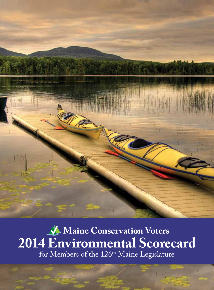

**Maine Conservation Voters 2014 Environmental Scorecard** for Members of the 126<sup>th</sup> Maine Legislature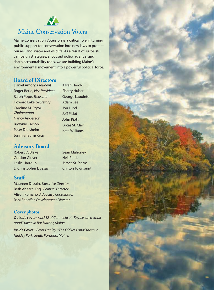

## **Maine Conservation Voters**

Maine Conservation Voters plays a critical role in turning public support for conservation into new laws to protect our air, land, water and wildlife. As a result of successful campaign strategies, a focused policy agenda, and sharp accountability tools, we are building Maine's environmental movement into a powerful political force.

### **Board of Directors**

Daniel Amory, *President* Roger Berle, *Vice President* Ralph Pope, *Treasurer* Howard Lake, *Secretary* Caroline M. Pryor, *Chairwoman* Nancy Anderson Brownie Carson Peter Didisheim Jennifer Burns Gray

### **Advisory Board**

Robert O. Blake Gordon Glover Leslie Harroun E. Christopher Livesay Sean Mahoney Neil Rolde James St. Pierre Clinton Townsend

Karen Herold Sherry Huber George Lapointe

Adam Lee Jon Lund Jeff Pidot John Piotti Lucas St. Clair Kate Williams

### **Staff**

Maureen Drouin, *Executive Director* Beth Ahearn, Esq., *Political Director* Alison Romano, *Advocacy Coordinator* Rani Sheaffer, *Development Director*

### **Cover photos**

*Outside cover: slack12 of Connecticut "Kayaks on a small pond" taken in Bar Harbor, Maine.*

*Inside Cover: Brent Danley, "The Old Ice Pond" taken in Hinkley Park, South Portland, Maine.*

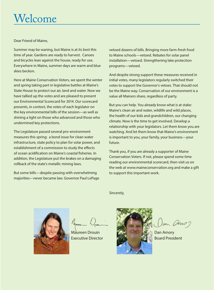## Welcome

Dear Friend of Maine,

Summer may be waning, but Maine is at its best this time of year. Gardens are ready to harvest. Canoes and bicycles lean against the house, ready for use. Everywhere in Maine, summer days are warm and blue skies beckon.

Here at Maine Conservation Voters, we spent the winter and spring taking part in legislative battles at Maine's State House to protect our air, land and water. Now we have tallied up the votes and are pleased to present our Environmental Scorecard for 2014. Our scorecard presents, in context, the votes of each legislator on the key environmental bills of the session—as well as shining a light on those who advanced and those who undermined key protections.

The Legislature passed several pro-environment measures this spring: a bond issue for clean water infrastructure, state policy to plan for solar power, and establishment of a commission to study the effects of ocean acidification on Maine's coastal fisheries. In addition, the Legislature put the brakes on a damaging rollback of the state's metallic mining laws.

But some bills—despite passing with overwhelming majorities—never became law. Governor Paul LePage vetoed dozens of bills. Bringing more farm-fresh food to Maine schools—vetoed. Rebates for solar panel installation—vetoed. Strengthening lake protection programs—vetoed.

And despite strong support these measures received in initial votes, many legislators regularly switched their votes to support the Governor's vetoes. That should not be the Maine way. Conservation of our environment is a value all Mainers share, regardless of party.

But you can help. You already know what is at stake: Maine's clean air and water, wildlife and wild places, the health of our kids and grandchildren, our changing climate. Now is the time to get involved. Develop a relationship with your legislators. Let them know you are watching. And let them know that Maine's environment is important to you, your family, your business—your future.

Thank you, if you are already a supporter of Maine Conservation Voters. If not, please spend some time reading our environmental scorecard, then visit us on the web at www.maineconservation.org and make a gift to support this important work.

Maureen Drouin Executive Director

Sincerely,



Dan Amory Board President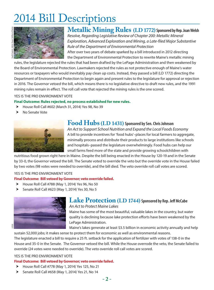## 2014 Bill Descriptions



## **Metallic Mining Rules (LD 1772) Sponsored by Rep. Joan Welsh**

*Resolve, Regarding Legislative Review of Chapter 200: Metallic Mineral Exploration, Advanced Exploration and Mining, a Late-filed Major Substantive Rule of the Department of Environmental Protection* After over two years of debate sparked by a bill introduced in 2012 directing

the Department of Environmental Protection to rewrite Maine's metallic mining rules, the legislature rejected the rules that had been drafted by the LePage Administration and then weakened by the Board of Environmental Protection. Lawmakers rejected the rules as not protective enough of Maine's water resources or taxpayers who would inevitably pay clean up costs. Instead, they passed a bill (LD 1772) directing the Department of Environmental Protection to begin again and present rules to the legislature for approval or rejection in 2016. The Governor vetoed the bill, which means there is no legislative directive to draft new rules, and the 1991 mining rules remain in effect. The roll call vote that rejected the mining rules is the one scored.

### YES IS THE PRO ENVIRONMENT VOTE

### **Final Outcome: Rules rejected, no process established for new rules.**

- $\blacktriangleright$  House Roll Call #602 (March 31, 2014) Yes 98, No 39
- No Senate Vote



## **Food Hubs (LD 1431) Sponsored by Sen. Chris Johnson**

*An Act to Support School Nutrition and Expand the Local Foods Economy* A bill to provide incentives for 'food hubs'–places for local farmers to aggregate, minimally process and distribute their products to large institutions like schools and hospitals–passed the legislature overwhelmingly. Food hubs can help our small farms feed more of the state and provide growing schoolchildren with

nutritious food grown right here in Maine. Despite the bill being enacted in the House by 120-19 and in the Senate by 33-0, the Governor vetoed the bill. The Senate voted to override the veto but the override vote in the House failed by two votes (98 votes were needed to override), and the bill died. The veto override roll call votes are scored.

### YES IS THE PRO ENVIRONMENT VOTE

### **Final Outcome: Bill vetoed by Governor; veto override failed.**

- $\blacktriangleright$  House Roll Call #788 (May 1, 2014) Yes 96, No 50
- $\blacktriangleright$  Senate Roll Call #623 (May 1, 2014) Yes 30, No 5



### **Lake Protection (LD 1744) Sponsored by Rep. Jeff McCabe** *An Act to Protect Maine Lakes*

Maine has some of the most beautiful, valuable lakes in the country, but water quality is declining because lake protection efforts have been weakened by the LePage Administration.

Maine's lakes generate at least \$3.5 billion in economic activity annually and help

sustain 52,000 jobs; it makes sense to protect them for economic as well as environmental reasons. The legislature enacted a bill to require a 25 ft. setback for the application of fertilizer with votes of 138-0 in the House and 35-0 in the Senate. The Governor vetoed the bill. While the House overrode the veto, the Senate failed to override (24 votes were needed to override). The veto override roll call votes are scored.

### YES IS THE PRO ENVIRONMENT VOTE

### **Final Outcome: Bill vetoed by Governor; veto override failed.**

- $\blacktriangleright$  House Roll Call #778 (May 1, 2014) Yes 125, No 21
- $\triangleright$  Senate Roll Call #658 (May 1, 2014) Yes 21, No 14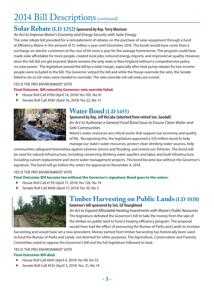## 2014 Bill Descriptions (continued)

## **Solar Rebate (LD 1252) Sponsored by Rep. Terry Morrison**

*An Act to Improve Maine's Economy and Energy Security with Solar Energy*

The solar rebate bill provided for a reinstatement of rebates on the purchase of solar equipment through a fund at Efficiency Maine in the amount of \$1 million a year until December 2016. The funds would have come from a surcharge on electric customers at the cost of 60 cents a year for the average homeowner. The program could have made solar affordable for more people, created local jobs, reduced energy imports, and improved air quality. However, since this bill did not get enacted, Maine remains the only state in New England without a comprehensive policy on solar power. The legislature passed the bill by a wide margin, especially after heat pump rebates for low income people were included in the bill. The Governor vetoed the bill and while the House overrode the veto, the Senate failed to do so (24 votes were needed to override). The veto override roll call votes are scored.

### YES IS THE PRO ENVIRONMENT VOTE

### **Final Outcome: Bill vetoed by Governor; veto override failed.**

- $\blacktriangleright$  House Roll Call #706 (April 14, 2014) Yes 105, No 41
- $\blacktriangleright$  Senate Roll Call #585 (April 16, 2014) Yes 22, No 13



## **Water Bond (LD 1455)**

**Sponsored by Rep. Jeff McCabe (inherited from retired Sen. Goodall)** *An Act to Authorize a General Fund Bond Issue to Ensure Clean Water and Safe Communities*

Maine's water resources are critical assets that support our economy and quality of life. Recognizing this, the legislature approved a \$10 million bond to help manage our state's water resources, protect clean drinking water sources, help

communities safeguard themselves against extreme storms and flooding, and restore our fisheries. The bond will be used for natural infrastructure, including conserving drinking water aquifers and lakes; and built infrastructure, including culvert replacement and storm water management projects. The bond became law without the Governor's signature. The bond will go before the voters for approval on November 4, 2014.

### YES IS THE PRO ENVIRONMENT VOTE

### **Final Outcome: Bill became law without the Governor's signature; Bond goes to the voters.**

- $\blacktriangleright$  House Roll Call #739 (April 17, 2014) Yes 126, No 19
- $\triangleright$  Senate Roll Call #608 (April 17, 2014) Yes 30, No 2



## **Timber Harvesting on Public Lands (LD 1838) Governor's bill sponsored by Sen. Ed Youngblood**

*An Act to Expand Affordable Heating Investments with Maine's Public Resources* The legislature defeated the Governor's bill to take the money from the sale of the timber on public land to fund a heating efficiency program. The proposal would have had the effect of pressuring the Bureau of Parks and Lands to increase

harvesting and would have set a new precedent. Money earned from timber harvesting has historically been used to fund the Bureau of Parks and Lands, not diverted for other purposes. The Agriculture, Conservation and Forestry Committee voted to oppose the Governor's bill and the full legislature followed its lead.

### YES IS THE PRO ENVIRONMENT VOTE

### **Final Outcome: Bill died.**

- $\blacktriangleright$  House Roll Call #645 (April 4, 2014) Yes 89, No 53
- $\blacktriangleright$  Senate Roll Call #533 (April 3, 2014) Yes, 21, No 14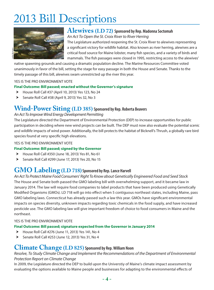## 2013 Bill Descriptions



## **Alewives (LD 72) Sponsored by Rep. Madonna Soctomah**

*An Act To Open the St. Croix River to River Herring* The Legislature authorized reopening the St. Croix River to alewives representing a significant victory for wildlife habitat. Also known as river herring, alewives are a critical food source for Maine lobster, many fish species, and a variety of birds and mammals. The fish passages were closed in 1995, restricting access to the alewives'

native spawning grounds and causing a dramatic population decline. The Marine Resources Committee voted unanimously in favor of the bill, setting the stage for easy passage in both the House and Senate. Thanks to the timely passage of this bill, alewives swam unrestricted up the river this year.

#### YES IS THE PRO ENVIRONMENT VOTE

### **Final Outcome: Bill passed; enacted without the Governor's signature**

- $\blacktriangleright$  House Roll Call #37 (April 10, 2013) Yes 123, No 24
- h Senate Roll Call #38 (April 9, 2013) Yes 32, No 3

## **Wind-Power Siting (LD 385) Sponsored by Rep. Roberta Beavers**

#### *An Act To Improve Wind Energy Development Permitting*

The Legislature directed the Department of Environmental Protection (DEP) to increase opportunities for public participation in deciding where new wind projects can be built. The DEP must now also evaluate the potential scenic and wildlife impacts of wind power. Additionally, the bill protects the habitat of Bicknell's Thrush, a globally rare bird species found at very specific high elevations.

#### YES IS THE PRO ENVIRONMENT VOTE

### **Final Outcome: Bill passed; signed by the Governor**

- $\blacktriangleright$  House Roll Call #350 (June 18, 2013) Yes 81, No 61
- $\blacktriangleright$  Senate Roll Call #299 (June 17, 2013) Yes 20, No 15

## **GMO Labeling (LD 718) Sponsored by Rep. Lance Harvell**

*An Act To Protect Maine Food Consumers' Right To Know about Genetically Engineered Food and Seed Stock* The House and Senate both passed the GMO labeling bill with overwhelming support, and it became law in January 2014. The law will require food companies to label products that have been produced using Genetically Modified Organisms (GMOs). LD 718 will go into effect when 5 contiguous northeast states, including Maine, pass GMO labeling laws. Connecticut has already passed such a law this year. GMOs have significant environmental impacts on species diversity, unknown impacts regarding toxic chemicals in the food supply, and have increased pesticide use. The GMO labeling law will give important freedom of choice to food consumers in Maine and the northeast.

#### YES IS THE PRO ENVIRONMENT VOTE

#### **Final Outcome: Bill passed; signature expected from the Governor in January 2014**

- $\blacktriangleright$  House Roll Call #276 (June 11, 2013) Yes 141, No 4
- $\triangleright$  Senate Roll Call #253 (June 12, 2013) Yes 31, No 4

### **Climate Change (LD 825) Sponsored by Rep. William Noon**

### *Resolve, To Study Climate Change and Implement the Recommendations of the Department of Environmental Protection Report on Climate Change*

In 2009, the Legislature directed the DEP to build upon the Universtiy of Maine's climate impact assessment by evaluating the options available to Maine people and businesses for adapting to the environmental effects of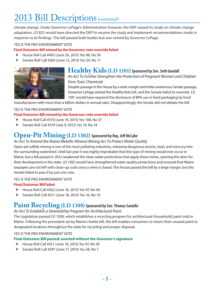## 2013 Bill Descriptions (continued)

climate change. Under Governor LePage's Administration however, the DEP ceased its study on climate change adaptation. LD 825 would have directed the DEP to resume the study and implement recommendations made in response to its findings. The bill passed both bodies but was vetoed by Governor LePage.

#### YES IS THE PRO ENVIRONMENT VOTE

### **Final Outcome: Bill vetoed by the Governor; veto override failed**

- $\blacktriangleright$  House Roll Call #405 (June 26, 2013) Yes 98, No 50
- $\blacktriangleright$  Senate Roll Call #260 (June 12, 2013) Yes 24, No 11



## **Healthy Kids (LD 1181) Sponsored by Sen. Seth Goodall**

*An Act To Further Strengthen the Protection of Pregnant Women and Children from Toxic Chemicals*

Despite passage in the House by a wide margin and initial unanimous Senate passage, Governor LePage vetoed the Healthy Kids bill, and the Senate failed to override. LD 1181 would have required the disclosure of BPA use in food packaging by food

manufacturers with more than a billion dollars in annual sales. Disappointingly, the Senate did not debate the bill.

#### YES IS THE PRO ENVIRONMENT VOTE

#### **Final Outcome: Bill vetoed by the Governor; veto override failed**

- $\blacktriangleright$  House Roll Call #370 (June 19, 2013) Yes 108, No 37
- $\blacktriangleright$  Senate Roll Call #379 (July 9, 2013) Yes 19, No 14

## **Open-Pit Mining (LD 1302) Sponsored by Rep. Jeff McCabe**

#### *An Act To Amend the Maine Metallic Mineral Mining Act To Protect Water Quality*

Open-pit sulfide mining is one of the most polluting industries, releasing dangerous arsenic, lead, and mercury into the surrounding watershed. Until last year it was highly improbable that this type of mining would ever occur in Maine, but a bill passed in 2012 weakened the clean water protections that apply these mines, opening the door for their development in the state. LD 1302 would have strengthened water quality protections and ensured that Maine taxpayers are not left with clean-up costs once a mine is closed. The House passed the bill by a large margin, but the Senate failed to pass it by just one vote.

#### YES IS THE PRO ENVIRONMENT VOTE

#### **Final Outcome: Bill failed**

- $\blacktriangleright$  House Roll Call #362 (June 18, 2013) Yes 97, No 40
- $\blacktriangleright$  Senate Roll Call #311 (June 18, 2013) Yes 16, No 19

## **Paint Recycling (LD 1308) Sponsored by Sen. Thomas Saviello**

#### *An Act To Establish a Stewardship Program for Architectural Paint*

The Legislature passed LD 1308, which establishes a recycling program for architectural (household) paint sold in Maine. Following the precedent set by Maine's bottle bill, this bill enables consumers to return their unused paint to designated locations throughout the state for recycling and proper disposal.

#### YES IS THE PRO ENVIRONMENT VOTE

#### **Final Outcome: Bill passed; enacted without the Governor's signature**

- $\blacktriangleright$  House Roll Call #351 (June 18, 2013) Yes 97, No 45
- $\blacktriangleright$  Senate Roll Call #297 (June 17, 2013) Yes 28, No 7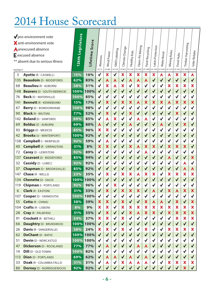## 2014 House Scorecard

| <b>DISTRICT</b> | pro-environment vote<br>X anti-environment vote<br><b>Aunexcused absence</b><br>$\mathsf E$ excused absence<br>** absent due to serious illness | <mark>126th Legislature</mark> | Score<br>Lifetime | Alewives<br>LD 72         | Wind Power<br>LD 385      | GMO Labeling<br>LD 718    | Climate Change<br>LD 825  | Healthy Kids<br>LD 1181 | Open-Pit Mining<br>LD 1302 LD 1308 LD 1744 | Paint Recycling           | Lakes Protection | Water Bond<br>LD 1455 | Mining Rules<br>LD 1772 LD 1431 | Food Hubs                 | Timber Harvesting<br>LD 1838 | Solar Rebate<br>LD 1252   |
|-----------------|-------------------------------------------------------------------------------------------------------------------------------------------------|--------------------------------|-------------------|---------------------------|---------------------------|---------------------------|---------------------------|-------------------------|--------------------------------------------|---------------------------|------------------|-----------------------|---------------------------------|---------------------------|------------------------------|---------------------------|
| 3               | <b>Ayotte (R - CASWELL)</b>                                                                                                                     | 15%                            | 16%               | $\checkmark$              | $\boldsymbol{\mathsf{x}}$ | $\checkmark$              | $\boldsymbol{\mathsf{x}}$ | X                       | $\boldsymbol{\mathsf{x}}$                  | $\boldsymbol{\mathsf{x}}$ | X                | A                     | A                               | $\boldsymbol{\mathsf{x}}$ | X                            | A                         |
| 135             | <b>Beaudoin (D - BIDDEFORD)</b>                                                                                                                 | 62%                            | 83%               | $\blacklozenge$           | A                         | A                         | $\checkmark$              | A                       | A                                          | Α                         | $\checkmark$     | $\checkmark$          | $\checkmark$                    | $\checkmark$              | $\checkmark$                 | $\checkmark$              |
| 68              | <b>Beaulieu</b> (R - AUBURN)                                                                                                                    | 38%                            | 51%               | $\checkmark$              | $\boldsymbol{\mathsf{x}}$ | Α                         | X                         | √                       | $\boldsymbol{\mathsf{x}}$                  | $\checkmark$              | $\checkmark$     | ✔                     | X                               | ×                         | ×                            | X                         |
| 148             | <b>Beavers (D - SOUTH BERWICK)</b>                                                                                                              | 100%                           | 100%              | $\blacklozenge$           | $\checkmark$              | $\checkmark$              | $\sqrt{}$                 | $\checkmark$            | $\checkmark$                               | $\checkmark$              | √                | $\blacklozenge$       | $\checkmark$                    | $\checkmark$              | $\checkmark$                 | $\sqrt{}$                 |
| 76              | <b>Beck</b> (D - WATERVILLE)                                                                                                                    | 100%                           | 85%               | $\checkmark$              | $\checkmark$              | $\checkmark$              | $\checkmark$              | $\checkmark$            | $\checkmark$                               | $\checkmark$              | $\checkmark$     | $\checkmark$          | $\checkmark$                    | $\checkmark$              | √                            | $\checkmark$              |
| 141             | <b>Bennett (R - KENNEBUNK)</b>                                                                                                                  | 15%                            | 17%               | $\checkmark$              | $\boldsymbol{\mathsf{x}}$ | $\checkmark$              | $\boldsymbol{\mathsf{x}}$ | X                       | A                                          | X                         | ×                | ×                     | A                               | X                         | X                            | X                         |
| 67              | <b>Berry</b> (D - BOWDOINHAM)                                                                                                                   | 100%                           | 98%               | $\checkmark$              | $\checkmark$              |                           | $\checkmark$              | √                       | $\checkmark$                               |                           | $\checkmark$     | $\checkmark$          | √                               | √                         |                              | $\checkmark$              |
| 90              | <b>Black (R - WILTON)</b>                                                                                                                       | 77%                            | 52%               | $\checkmark$              | $\boldsymbol{\mathsf{x}}$ | $\checkmark$              | $\checkmark$              | X                       | $\checkmark$                               | √                         | $\checkmark$     | ✔                     | $\checkmark$                    | X                         | √                            | $\checkmark$              |
| 142             | <b>Boland (D - SANFORD)</b>                                                                                                                     | 69%                            | 85%               | $\checkmark$              | A                         | X                         | $\sqrt{2}$                |                         | A                                          | A                         | $\checkmark$     | $\checkmark$          | $\checkmark$                    | $\checkmark$              | $\checkmark$                 | $\checkmark$              |
| 69              | <b>Bolduc</b> (D - AUBURN)                                                                                                                      | 69%                            | 80%               | A                         | $\checkmark$              | $\checkmark$              | $\checkmark$              | A                       | $\checkmark$                               | $\checkmark$              | $\checkmark$     | A                     | $\checkmark$                    | $\checkmark$              | $\boldsymbol{\mathsf{x}}$    | $\checkmark$              |
| 93              | Briggs (D - MEXICO)                                                                                                                             | 85%                            | 96%               | X                         | $\boldsymbol{\mathsf{x}}$ | √                         | $\checkmark$              | ✓                       | $\checkmark$                               |                           | $\checkmark$     | ✔                     | √                               | √                         | √                            | $\checkmark$              |
| 42              | <b>Brooks (U - WINTERPORT)</b>                                                                                                                  | 100%                           | 92%               | $\checkmark$              | $\checkmark$              |                           | $\checkmark$              | $\checkmark$            | $\checkmark$                               | $\checkmark$              | $\checkmark$     | $\checkmark$          | $\checkmark$                    | $\checkmark$              |                              | $\checkmark$              |
| 138             | <b>Campbell (I - NEWFIELD)</b>                                                                                                                  | 92%                            | 59%               | $\checkmark$              | A                         | √                         | $\checkmark$              | √                       | $\checkmark$                               | $\checkmark$              | $\checkmark$     | ✔                     | √                               | $\checkmark$              | √                            | $\checkmark$              |
| 40              | <b>Campbell (R - ORRINGTON)</b>                                                                                                                 | 31%                            | 8%                | $\boldsymbol{\mathsf{x}}$ | X                         | $\checkmark$              | $\sqrt{}$                 | X                       | A                                          | X                         | X                | $\checkmark$          | X                               | X                         | X                            | $\sqrt{}$                 |
| 72              | <b>Carey (D - LEWISTON)</b>                                                                                                                     | 92%                            | 89%               | $\checkmark$              | $\checkmark$              |                           | $\checkmark$              |                         | $\checkmark$                               | A                         | $\checkmark$     | $\checkmark$          |                                 |                           |                              | $\checkmark$              |
| 137             | <b>Casavant (D - BIDDEFORD)</b>                                                                                                                 | 85%                            | 94%               | $\checkmark$              | $\checkmark$              | $\checkmark$              | $\checkmark$              | $\checkmark$            | $\checkmark$                               | $\checkmark$              | $\checkmark$     | $\checkmark$          | A                               | $\checkmark$              | $\checkmark$                 | X                         |
| 32              | Cassidy (D - LUBEC)                                                                                                                             | 92%                            | 92%               | $\checkmark$              | $\checkmark$              |                           | $\checkmark$              |                         | $\checkmark$                               |                           | $\checkmark$     | ✔                     |                                 | $\checkmark$              | A                            | $\checkmark$              |
| 37              | <b>Chapman (D - BROOKSVILLE)</b>                                                                                                                | 85%                            | 92%               | $\checkmark$              | $\checkmark$              | $\checkmark$              | $\checkmark$              | $\checkmark$            | $\checkmark$                               | √                         | $\checkmark$     | $\checkmark$          | $\checkmark$                    | $\checkmark$              | A                            | A                         |
| 147             | <b>Chase (R - WELLS)</b>                                                                                                                        | 23%                            | 35%               | $\checkmark$              | X                         | $\checkmark$              | $\boldsymbol{\mathsf{x}}$ | X                       | A                                          | X                         | X                |                       | ×                               | ×                         | ×                            | X                         |
| 134             | <b>Chenette (D - SACO)</b>                                                                                                                      | 100%                           | 100%              | $\checkmark$              | $\checkmark$              | $\checkmark$              | $\checkmark$              | $\checkmark$            | $\checkmark$                               | $\checkmark$              | $\checkmark$     | $\checkmark$          | $\checkmark$                    | $\checkmark$              | $\checkmark$                 | $\checkmark$              |
| 119             | Chipman (I - PORTLAND)                                                                                                                          | 92%                            | 96%               | $\checkmark$              | $\checkmark$              | $\boldsymbol{\mathsf{x}}$ | $\checkmark$              | √                       | $\checkmark$                               |                           | $\checkmark$     | ✔                     | √                               | $\checkmark$              | √                            | $\checkmark$              |
| 6               | <b>Clark (R - EASTON)</b>                                                                                                                       | 31%                            | 33%               | $\checkmark$              | X                         | $\checkmark$              | $\boldsymbol{\mathsf{x}}$ | ×                       | X                                          | $\checkmark$              | A                | √                     | ×                               | A                         | $\boldsymbol{\mathsf{x}}$    | X                         |
| 107             | <b>Cooper</b> (D - YARMOUTH)                                                                                                                    | 100%                           | 100%              | $\checkmark$              | $\checkmark$              | √                         | √                         | √                       | $\checkmark$                               |                           |                  |                       |                                 | $\checkmark$              | √                            | $\checkmark$              |
| 55              | Cotta (R - CHINA)                                                                                                                               | 38%                            | 39%               | ×                         | ×                         | ✔                         | X                         | ✔                       | $\checkmark$                               | ×                         | A                | A                     | ✔                               | ×                         | ✔                            | ×                         |
| 104             | <b>Crafts (R - LISBON)</b>                                                                                                                      | 8%                             | 9%                | ×                         | ×                         |                           | X                         | X                       | ×                                          | ×                         | ×                | X                     | ×                               | ×                         | ×                            | $\boldsymbol{\mathsf{x}}$ |
| 28              | Cray (R - PALMYRA)                                                                                                                              | 31%                            | 35%               | $\blacktriangledown$      | $\boldsymbol{\mathsf{x}}$ | $\checkmark$              | $\blacklozenge$           | X                       | A                                          | $\boldsymbol{\mathsf{x}}$ | X                | $\checkmark$          | ×                               | ×                         | $\boldsymbol{\mathsf{x}}$    | X                         |
| 91              | <b>Crockett (R - BETHEL)</b>                                                                                                                    | 54%                            | 37%               | ×                         | ×                         |                           | ×                         | ✓                       | $\checkmark$                               |                           | $\checkmark$     | ✔                     | ✔                               | x                         | ×                            | ×                         |
| 66              | <b>Daughtry (D - BRUNSWICK)</b>                                                                                                                 | 100%                           | 100%              | $\checkmark$              | $\blacklozenge$           |                           | $\blacklozenge$           | √                       | $\blacklozenge$                            |                           | √                | ✔                     | ✔                               | $\blacklozenge$           | √                            | $\blacklozenge$           |
| 26              | <b>Davis (R - SANGERVILLE)</b>                                                                                                                  | 38%                            | 24%               | $\boldsymbol{\mathsf{x}}$ | ×                         |                           | X                         |                         | $\blacklozenge$                            | ×                         | $\checkmark$     | $\checkmark$          | ×                               | ×                         | ×                            | ×                         |
| 62              | <b>DeChant (D - BATH)</b>                                                                                                                       | 100%                           | 100%              | $\checkmark$              | $\checkmark$              |                           | $\checkmark$              | ✔                       | $\checkmark$                               | $\checkmark$              | $\blacklozenge$  | $\checkmark$          | $\checkmark$                    | $\blacklozenge$           | $\checkmark$                 | $\checkmark$              |
| 51              | <b>Devin</b> (D - NEWCASTLE)                                                                                                                    | 100%                           | 100%              | $\checkmark$              | ✓                         |                           | √                         |                         | $\checkmark$                               |                           | √                | √                     |                                 |                           |                              | $\checkmark$              |
| 47              | <b>Dickerson (D - ROCKLAND)</b>                                                                                                                 | 77%                            | 77%               | $\blacktriangledown$      | A                         |                           | $\blacklozenge$           | ✔                       | A                                          | A                         | $\checkmark$     | ✔                     | $\checkmark$                    | ✔                         |                              | $\blacklozenge$           |
| 14              | <b>Dill</b> (D - OLD TOWN)                                                                                                                      | 100%                           | 82%               | $\checkmark$              | $\checkmark$              |                           | $\checkmark$              |                         | $\checkmark$                               |                           | $\checkmark$     |                       |                                 | √                         |                              | $\checkmark$              |
| 113             | <b>Dion</b> (D - PORTLAND)                                                                                                                      | 69%                            | 62%               | $\blacklozenge$           | A                         | A                         | $\blacklozenge$           | Α                       | $\blacklozenge$                            | A                         | $\blacklozenge$  | ✔                     | $\checkmark$                    | $\checkmark$              |                              | $\blacklozenge$           |
| 33              | <b>Doak</b> (R - COLUMBIA FALLS)                                                                                                                | 31%                            | 31%               | ✔                         | Α                         |                           | X                         | Α                       | A                                          | A                         | $\checkmark$     |                       | ×                               | ×                         | ×                            | ×                         |
| 86              | <b>Dorney (D - NORRIDGEWOCK)</b>                                                                                                                | 92%                            | 92%               | $\checkmark$              |                           |                           |                           |                         | $\checkmark$                               |                           |                  |                       |                                 |                           | X                            | ✔                         |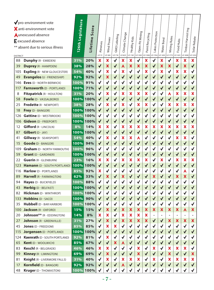| <b>DISTRICT</b> | pro-environment vote<br>X anti-environment vote<br><b>A</b> unexcused absence<br>$\mathsf E$ excused absence<br>** absent due to serious illness | 126th Legislature | Score<br>Lifetime : | Alewives<br>LD 72         | Wind Power<br>LD 385      | GMO Labeling<br>LD 718    | Climate Change<br>LD 825 | Healthy Kids<br>LD 1181   | Open-Pit Mining<br>LD 1302 | Paint Recycling<br>LD 1308 | Lakes Protection<br>LD 1744 | Water Bond<br>LD 1455 | <b>Mining Rules</b><br>LD 1772 | Food Hubs<br>LD 1431      | Timber Harvesting<br>LD 1838 | Solar Rebate<br>LD 1252 |
|-----------------|--------------------------------------------------------------------------------------------------------------------------------------------------|-------------------|---------------------|---------------------------|---------------------------|---------------------------|--------------------------|---------------------------|----------------------------|----------------------------|-----------------------------|-----------------------|--------------------------------|---------------------------|------------------------------|-------------------------|
| 88              | <b>Dunphy (R - EMBDEN)</b>                                                                                                                       | 31%               | 20%                 | $\boldsymbol{\mathsf{x}}$ | X                         | $\checkmark$              | ×                        | X                         | $\checkmark$               | ×                          | $\checkmark$                | X                     | $\checkmark$                   | $\boldsymbol{\mathsf{x}}$ | X                            | ×                       |
| 39              | <b>Duprey (R - HAMPDEN)</b>                                                                                                                      | 38%               | 28%                 | $\checkmark$              | $\boldsymbol{\mathsf{x}}$ | $\checkmark$              | A                        | $\boldsymbol{\mathsf{x}}$ | $\boldsymbol{\mathsf{x}}$  | ×                          | $\checkmark$                | ×                     | $\boldsymbol{\mathsf{x}}$      | $\checkmark$              | ×                            | $\blacklozenge$         |
| 105             | <b>Espling (R - NEW GLOUCESTER)</b>                                                                                                              | 54%               | 40%                 | $\checkmark$              | X                         | $\checkmark$              | ×                        | $\checkmark$              | $\checkmark$               | $\boldsymbol{\mathsf{x}}$  | $\checkmark$                | X                     | $\checkmark$                   | $\boldsymbol{\mathsf{x}}$ | ×                            | $\checkmark$            |
| 49              | Evangelos (U - FRIENDSHIP)                                                                                                                       | 92%               | 92%                 | $\checkmark$              | $\boldsymbol{\mathsf{x}}$ | $\checkmark$              | $\checkmark$             | $\checkmark$              | $\checkmark$               | ✔                          | $\checkmark$                | $\checkmark$          | $\checkmark$                   | $\checkmark$              | $\checkmark$                 | $\checkmark$            |
| 146             | <b>Eves (D - NORTH BERWICK)</b>                                                                                                                  | 100%              | 91%                 | $\checkmark$              | $\checkmark$              | $\checkmark$              | $\checkmark$             | √                         | $\sqrt{2}$                 | √                          | $\checkmark$                | √                     | $\checkmark$                   | $\checkmark$              | $\checkmark$                 | $\checkmark$            |
| 117             | Farnsworth (D - PORTLAND)                                                                                                                        | 100%              | 71%                 | $\checkmark$              | $\checkmark$              | $\checkmark$              | $\checkmark$             | $\checkmark$              | $\checkmark$               | $\checkmark$               | $\checkmark$                | $\checkmark$          | $\checkmark$                   | $\checkmark$              | $\checkmark$                 | $\checkmark$            |
| 8               | Fitzpatrick (R - HOULTON)                                                                                                                        | 31%               | 20%                 | $\checkmark$              | X                         | $\checkmark$              | X                        | X                         | $\boldsymbol{\mathsf{x}}$  | X                          | $\checkmark$                | ✓                     | Α                              | X                         | ×                            | ×                       |
| 58              | Fowle (D - VASSALBORO)                                                                                                                           | 100%              | 100%                | $\checkmark$              | ✔                         | $\checkmark$              | $\blacklozenge$          | $\checkmark$              | $\blacklozenge$            | √                          | ✔                           | $\checkmark$          | $\checkmark$                   | $\checkmark$              | $\checkmark$                 | $\blacklozenge$         |
| 25              | <b>Fredette (R - NEWPORT)</b>                                                                                                                    | 38%               | 28%                 | $\checkmark$              | ×                         | $\checkmark$              | X                        | $\checkmark$              | $\boldsymbol{\mathsf{x}}$  | $\boldsymbol{\mathsf{x}}$  | $\checkmark$                | $\checkmark$          | $\boldsymbol{\mathsf{x}}$      | X                         | X                            | X                       |
| 18              | Frey (D - BANGOR)                                                                                                                                |                   | 100% 100%           | $\checkmark$              | $\blacklozenge$           | $\checkmark$              | $\checkmark$             | $\checkmark$              | $\checkmark$               | $\checkmark$               | $\checkmark$                | $\checkmark$          | $\checkmark$                   | $\checkmark$              | $\checkmark$                 | $\checkmark$            |
| 126             | <b>Gattine (D - WESTBROOK)</b>                                                                                                                   | 100%              | 100%                | $\checkmark$              | $\checkmark$              |                           | √                        |                           | $\checkmark$               |                            | $\checkmark$                |                       |                                | $\checkmark$              |                              | $\checkmark$            |
| 106             | <b>Gideon (D - FREEPORT)</b>                                                                                                                     | 100%              | 100%                | $\checkmark$              | √                         | $\checkmark$              | $\checkmark$             | $\checkmark$              | $\checkmark$               | ✔                          | $\checkmark$                | $\checkmark$          | $\checkmark$                   | ✔                         | ✔                            | ✔                       |
| 12              | <b>Gifford (R - LINCOLN)</b>                                                                                                                     | 8%                | 14%                 | $\boldsymbol{\mathsf{x}}$ | X                         |                           | ×                        | X                         | X                          | $\boldsymbol{\mathsf{x}}$  | X                           | X                     | $\boldsymbol{\mathsf{x}}$      | $\boldsymbol{\mathsf{x}}$ | ×                            | X                       |
| 87              | Gilbert (D - JAY)                                                                                                                                | 100%              | 100%                | $\checkmark$              | $\checkmark$              | $\checkmark$              | $\checkmark$             | $\checkmark$              | $\checkmark$               | $\checkmark$               | $\checkmark$                | $\checkmark$          | $\checkmark$                   | $\checkmark$              | $\checkmark$                 | $\checkmark$            |
| 41              | <b>Gillway</b> (R - SEARSPORT)                                                                                                                   | 54%               | 40%                 | $\checkmark$              | X                         | $\checkmark$              | X                        | X                         | A                          | √                          | $\checkmark$                | √                     | $\checkmark$                   | $\boldsymbol{\mathsf{x}}$ | X                            | $\checkmark$            |
| 15              | <b>Goode</b> (D - BANGOR)                                                                                                                        | 100%              | 94%                 | $\checkmark$              | $\checkmark$              | $\checkmark$              | $\checkmark$             | $\checkmark$              | $\checkmark$               | √                          | $\checkmark$                | $\checkmark$          | $\checkmark$                   | $\checkmark$              |                              | $\checkmark$            |
| 109             | <b>Graham</b> (D - NORTH YARMOUTH)                                                                                                               | 100%              | 96%                 | $\checkmark$              | √                         | $\checkmark$              | ✔                        | $\checkmark$              | $\checkmark$               | $\checkmark$               | $\checkmark$                | √                     | $\checkmark$                   | √                         | √                            | $\checkmark$            |
| 59              | <b>Grant</b> (D - GARDINER)                                                                                                                      | 100%              | 100%                | $\checkmark$              | $\blacklozenge$           | $\checkmark$              | $\blacklozenge$          | $\checkmark$              | $\blacklozenge$            | √                          | $\checkmark$                | $\checkmark$          | $\checkmark$                   | $\checkmark$              |                              | $\checkmark$            |
| 22              | <b>Guerin (R - GLENBURN)</b>                                                                                                                     | 23%               | 16%                 | $\boldsymbol{\mathsf{x}}$ | $\boldsymbol{\mathsf{x}}$ | $\checkmark$              | X                        | X                         | $\boldsymbol{\mathsf{x}}$  | $\boldsymbol{\mathsf{x}}$  | $\checkmark$                | X                     | $\checkmark$                   | X                         | X                            | X                       |
| 123             | Hamann (D - SOUTH PORTLAND)                                                                                                                      | 100%              | 100%                | $\checkmark$              | $\checkmark$              | $\checkmark$              | $\checkmark$             | $\checkmark$              | $\checkmark$               | $\checkmark$               | $\checkmark$                | $\checkmark$          | $\checkmark$                   | $\checkmark$              | $\checkmark$                 | $\checkmark$            |
| 116             | Harlow (D - PORTLAND)                                                                                                                            | 85%               | 92%                 | X                         | $\checkmark$              |                           | √                        |                           | $\checkmark$               |                            | $\checkmark$                |                       |                                | √                         | Α                            | $\checkmark$            |
| 89              | <b>Harvell</b> (R - FARMINGTON)                                                                                                                  | 62%               | 33%                 | $\checkmark$              | $\boldsymbol{\mathsf{x}}$ | $\checkmark$              | ×                        | $\checkmark$              | √                          | √                          | ×                           | ✔                     | $\checkmark$                   | $\boldsymbol{\mathsf{x}}$ | ×                            | ✔                       |
| 94              | Hayes (D - BUCKFIELD)                                                                                                                            | 100%              | 88%                 | $\checkmark$              | ✔                         |                           |                          |                           |                            |                            | $\checkmark$                | √                     | √                              |                           |                              |                         |
|                 | 43 <b>Herbig</b> (D - BELFAST)                                                                                                                   |                   | 100% 100%           | $\checkmark$              |                           |                           | 1                        | ∕                         | $\checkmark$               |                            | ◢                           |                       |                                | I                         |                              |                         |
| 82              | Hickman (D - WINTHROP)                                                                                                                           | 100%              | 100%                | $\checkmark$              | ✓                         |                           |                          |                           | $\checkmark$               |                            | √                           |                       |                                |                           |                              | √                       |
| 133             | <b>Hobbins (D - SACO)</b>                                                                                                                        | 100%              | 90%                 | $\checkmark$              | $\blacklozenge$           | $\checkmark$              | $\blacklozenge$          | $\checkmark$              | $\blacklozenge$            | ✔                          | $\checkmark$                | $\checkmark$          | $\checkmark$                   | $\checkmark$              |                              | $\blacklozenge$         |
| 35              | Hubbell (D - BAR HARBOR)                                                                                                                         | 100%              | 100%                | $\checkmark$              | $\checkmark$              | √                         | √                        | $\checkmark$              | $\checkmark$               | √                          | $\checkmark$                | $\checkmark$          | ✓                              | √                         |                              | ✔                       |
| 100             | <b>Jackson</b> (R - OXFORD)                                                                                                                      | 15%               | 15%                 | $\checkmark$              | ×                         | $\blacklozenge$           | ×                        | ×                         | $\boldsymbol{\mathsf{x}}$  | ×                          | $\boldsymbol{\mathsf{x}}$   | ×                     | ×                              | $\boldsymbol{\mathsf{x}}$ | A                            | X                       |
| 20              | <b>Johnson**</b> (R - EDDINGTON)                                                                                                                 | 14%               | 8%                  | $\boldsymbol{\mathsf{x}}$ | ×                         | $\checkmark$              | X                        | X                         | $\boldsymbol{\mathsf{x}}$  | ×                          |                             |                       |                                |                           |                              |                         |
| 27              | <b>Johnson</b> (R - GREENVILLE)                                                                                                                  | 31%               | 27%                 | $\checkmark$              | $\boldsymbol{\mathsf{x}}$ | $\checkmark$              | ×                        | ×                         | $\boldsymbol{\mathsf{x}}$  | X                          | $\checkmark$                | $\blacklozenge$       | ×                              | $\boldsymbol{\mathsf{x}}$ | X                            | X                       |
| 45              | <b>Jones</b> (D - FREEDOM)                                                                                                                       | 85%               | 85%                 | $\checkmark$              | X                         | ×                         | √                        | ✓                         | $\checkmark$               | $\checkmark$               | $\checkmark$                | ✔                     |                                | $\checkmark$              |                              | $\checkmark$            |
| 115             | <b>Jorgensen</b> (D - PORTLAND)                                                                                                                  | 100%              | 100%                | $\checkmark$              | $\blacklozenge$           | $\blacklozenge$           | ✔                        | $\checkmark$              | $\blacklozenge$            | √                          | $\checkmark$                |                       | ✔                              | ✔                         |                              | $\blacklozenge$         |
| 124             | Kaenrath (D - SOUTH PORTLAND)                                                                                                                    | 92%               | 81%                 | $\checkmark$              | ×                         |                           | √                        |                           | $\checkmark$               |                            | $\checkmark$                |                       |                                |                           |                              | √                       |
| 65              | <b>Kent</b> (D - WOOLWICH)                                                                                                                       | 85%               | 67%                 | $\checkmark$              | $\checkmark$              | $\boldsymbol{\mathsf{x}}$ | A                        | $\checkmark$              | $\checkmark$               | √                          | $\checkmark$                | $\checkmark$          | $\checkmark$                   | $\checkmark$              | √                            | $\checkmark$            |
| 83              | Keschl (R - BELGRADE)                                                                                                                            | 46%               | 46%                 | ×                         | ×                         | ✔                         | √                        | $\checkmark$              | $\boldsymbol{\mathsf{x}}$  |                            | X                           | ✔                     | ×                              | X                         | ×                            | √                       |
| 99              | <b>Kinney (R - LIMINGTON)</b>                                                                                                                    | 69%               | 69%                 | $\checkmark$              | $\boldsymbol{\mathsf{x}}$ | $\checkmark$              | $\blacklozenge$          | $\checkmark$              | X                          | $\checkmark$               | $\checkmark$                | $\checkmark$          | $\boldsymbol{\mathsf{x}}$      | $\checkmark$              | $\checkmark$                 | X                       |
| 81              | <b>Knight (R - LIVERMORE FALLS)</b>                                                                                                              | 31%               | 40%                 | $\checkmark$              | ×                         | ✔                         | X                        | ×                         | $\boldsymbol{\mathsf{x}}$  |                            | ×                           | ✓                     | $\boldsymbol{\mathsf{x}}$      | ×                         | ×                            | X                       |
| 17              | <b>Kornfield (D - BANGOR)</b>                                                                                                                    | 92%               | 92%                 | $\checkmark$              | ✔                         | ✔                         | A                        | √                         | $\blacklozenge$            | ✔                          | $\blacklozenge$             | ✔                     | $\checkmark$                   |                           |                              | ✔                       |
| 48              | <b>Kruger</b> (D - THOMASTON)                                                                                                                    | 100%              | 100%                |                           |                           |                           | $\checkmark$             |                           | $\checkmark$               |                            |                             |                       |                                |                           |                              | $\checkmark$            |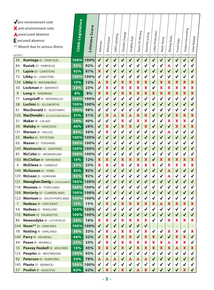|                 | pro-environment vote                     | 126th Legislature |            |                           |                           |              |                           |                           |                           |                           |                  |              |                           |                           |                           |                 |
|-----------------|------------------------------------------|-------------------|------------|---------------------------|---------------------------|--------------|---------------------------|---------------------------|---------------------------|---------------------------|------------------|--------------|---------------------------|---------------------------|---------------------------|-----------------|
|                 | X anti-environment vote                  |                   | Score      |                           |                           |              |                           |                           |                           |                           |                  |              |                           |                           |                           |                 |
|                 | <b>Aunexcused absence</b>                |                   |            |                           |                           |              |                           |                           |                           |                           |                  |              |                           |                           |                           |                 |
|                 | $\mathsf E$ excused absence              |                   |            |                           |                           |              |                           |                           |                           |                           |                  |              |                           |                           |                           |                 |
|                 | ** Absent due to serious illness         |                   | Lifetime ? | Alewives                  | Wind Power                | GMO Labeling | Climate Change            | Healthy Kids              | Open-Pit Mining           | Paint Recycling           | Lakes Protection | Water Bond   | Mining Rules              | Food Hubs                 | Timber Harvesting         | Solar Rebate    |
| <b>DISTRICT</b> |                                          |                   |            | LD 72                     | LD 385                    | LD 718       | LD 825                    | LD 1181                   | LD 1302                   | LD 1308                   | LD 1744          | LD 1455      | LD 1772                   | LD 1431                   | LD 1838                   | LD 1252         |
| 36              | Kumiega (D - DEER ISLE)                  | 100%              | 100%       | $\checkmark$              | $\checkmark$              | $\checkmark$ | $\checkmark$              | $\checkmark$              | $\checkmark$              | $\checkmark$              | $\checkmark$     | $\checkmark$ | $\checkmark$              | $\checkmark$              | $\checkmark$              | $\checkmark$    |
| 84              | <b>Kusiak (D - FAIRFIELD)</b>            | 92%               | 92%        | $\checkmark$              | √                         |              | $\checkmark$              | √                         | √                         | √                         | √                | √            | Α                         | √                         |                           | $\checkmark$    |
| 71              | Lajoie (D - LEWISTON)                    | 92%               | 97%        | ×                         | $\checkmark$              | $\checkmark$ | $\checkmark$              | $\checkmark$              | $\blacklozenge$           | $\checkmark$              | ✔                | √            | $\checkmark$              | $\checkmark$              | $\checkmark$              | $\checkmark$    |
| 73              | Libby (D - LEWISTON)                     | 100%              | 100%       | $\checkmark$              | $\checkmark$              | $\checkmark$ | $\checkmark$              | $\checkmark$              | $\checkmark$              | $\checkmark$              | √                | √            | √                         | $\checkmark$              | √                         | $\checkmark$    |
| 139             | Libby (R - WATERBORO)                    | 15%               | 12%        | A                         | $\boldsymbol{\mathsf{x}}$ | $\checkmark$ | $\boldsymbol{\mathsf{x}}$ | X                         | $\boldsymbol{\mathsf{x}}$ | X                         | $\checkmark$     | X            | $\boldsymbol{\mathsf{x}}$ | $\boldsymbol{\mathsf{x}}$ | $\boldsymbol{\mathsf{x}}$ | X               |
| 30              | <b>Lockman</b> (R - AMHERST)             | 23%               | 23%        | $\checkmark$              | ×                         | √            | X                         | $\boldsymbol{\mathsf{x}}$ | X                         | $\boldsymbol{\mathsf{x}}$ | $\checkmark$     | X            | $\boldsymbol{\mathsf{x}}$ | ×                         | X                         | X               |
| 9               | Long (R - SHERMAN)                       | 8%                | 8%         | $\boldsymbol{\mathsf{x}}$ | $\boldsymbol{\mathsf{x}}$ | $\checkmark$ | ×                         | X                         | $\boldsymbol{\mathsf{x}}$ | X                         | X                | ×            | $\boldsymbol{\mathsf{x}}$ | $\boldsymbol{\mathsf{x}}$ | X                         | ×               |
| 77              | <b>Longstaff (D - WATERVILLE)</b>        | 100%              | 100%       | $\checkmark$              | $\checkmark$              |              | ✔                         | $\checkmark$              | $\checkmark$              | $\blacktriangledown$      | √                | √            | $\checkmark$              | $\checkmark$              | √                         | √               |
| 38              | Luchini (D - ELLSWORTH)                  | 100%              | 100%       | $\checkmark$              | √                         | $\checkmark$ | $\checkmark$              | $\checkmark$              | $\checkmark$              | $\checkmark$              | $\checkmark$     | $\checkmark$ | $\checkmark$              | $\checkmark$              | $\checkmark$              | $\checkmark$    |
| 61              | MacDonald (D - BOOTHBAY)                 | 100%              | 98%        | $\checkmark$              | $\checkmark$              |              | $\checkmark$              |                           | $\checkmark$              | $\sqrt{}$                 | $\checkmark$     | $\checkmark$ | $\checkmark$              | $\checkmark$              |                           | $\checkmark$    |
| 132             | <b>MacDonald</b> (R - OLD ORCHARD BEACH) | 31%               | 31%        | $\checkmark$              | $\boldsymbol{\mathsf{x}}$ | A            | X                         | A                         | $\boldsymbol{\mathsf{x}}$ | $\boldsymbol{\mathsf{x}}$ | $\checkmark$     | $\checkmark$ | $\checkmark$              | $\boldsymbol{\mathsf{x}}$ | X                         | X               |
| 31              | Maker (R - CALAIS)                       | 54%               | 40%        | $\checkmark$              | $\checkmark$              | $\checkmark$ | X                         | $\checkmark$              | X                         | X                         | √                | $\checkmark$ | $\boldsymbol{\mathsf{x}}$ | $\boldsymbol{\mathsf{x}}$ | X                         | $\checkmark$    |
| 34              | <b>Malaby (R - HANCOCK)</b>              | 46%               | 28%        | $\checkmark$              | X                         | $\checkmark$ | X                         | X                         | $\checkmark$              | ×                         | ✔                | √            | $\checkmark$              | $\boldsymbol{\mathsf{x}}$ | X                         | X               |
| 131             | Marean (R - HOLLIS)                      | 85%               | 56%        | $\checkmark$              | ×                         | √            | $\checkmark$              | $\checkmark$              | $\checkmark$              | $\checkmark$              | √                | √            | Α                         | $\checkmark$              | √                         | $\checkmark$    |
| 53              | <b>Marks (D - PITTSTON)</b>              | 100%              | 100%       | $\checkmark$              | $\checkmark$              |              | $\sqrt{}$                 | $\checkmark$              | $\blacklozenge$           | √                         | $\checkmark$     | $\checkmark$ | $\checkmark$              | $\sqrt{}$                 |                           | $\checkmark$    |
| 60              | Mason (D - TOPSHAM)                      | 100%              | 100%       | √                         | $\checkmark$              |              | $\checkmark$              | $\checkmark$              | $\checkmark$              | $\checkmark$              | $\checkmark$     | √            | $\checkmark$              | $\checkmark$              | $\checkmark$              | $\checkmark$    |
| 143             | Mastraccio (D - SANFORD)                 | 100%              | 100%       | $\checkmark$              | $\checkmark$              | $\checkmark$ | $\checkmark$              | $\checkmark$              | $\checkmark$              | √                         | $\checkmark$     | $\checkmark$ | $\checkmark$              | $\checkmark$              |                           | $\checkmark$    |
| 85              | McCabe (D - SKOWHEGAN)                   | 100%              | 100%       | $\checkmark$              | $\checkmark$              |              | $\checkmark$              | $\checkmark$              | √                         |                           | ✓                | √            | √                         | √                         | √                         | ✔               |
| 103             | <b>McClellan (R - RAYMOND)</b>           | 15%               | 12%        | ×                         | ×                         | $\checkmark$ | X                         | X                         | ×                         | ×                         | ✔                | X            | $\boldsymbol{\mathsf{x}}$ | $\boldsymbol{\mathsf{x}}$ | X                         | X               |
| 4               | <b>McElwee</b> (R - CARIBOU)             | 23%               | 23%        | X                         | ×                         |              | X                         |                           | $\overline{\mathbf{x}}$   | X                         | X                | $\checkmark$ | $\boldsymbol{\mathsf{x}}$ | X                         | X                         | X               |
| 149             | McGowan (D - YORK)                       | 92%               | 92%        | $\checkmark$              | $\checkmark$              | $\checkmark$ | $\checkmark$              | $\checkmark$              | $\checkmark$              | $\checkmark$              | $\checkmark$     | $\checkmark$ | A                         | $\checkmark$              | $\checkmark$              | $\checkmark$    |
| 129             | McLean (D - GORHAM)                      | 92%               | 92%        | $\checkmark$              | √                         |              | ✔                         |                           | √                         |                           | √                |              | Α                         | $\checkmark$              |                           | $\checkmark$    |
| 121             | <b>Monaghan-Derrig (D-CAPEELIZABETH)</b> | 100%              | 100%       | $\checkmark$              |                           |              |                           |                           | $\blacklozenge$           |                           |                  |              |                           |                           |                           | ✔               |
| 118             | Moonen (D - PORTLAND)                    | 100% $\mid$       | 100%       | $\checkmark$              | ✔                         |              |                           |                           |                           |                           |                  |              |                           |                           |                           |                 |
| 108             | <b>Moriarty (D - CUMBERLAND)</b>         |                   | 100% 100%  | $\checkmark$              | ✔                         |              | $\blacklozenge$           | $\checkmark$              | √                         | $\checkmark$              | ✔                | $\checkmark$ |                           |                           |                           | $\blacklozenge$ |
| 122             | <b>Morrison</b> (D - SOUTH PORTLAND)     | $ 100\% $         | 100%       |                           | $\blacklozenge$           | √            | √                         | $\checkmark$              | $\checkmark$              | $\checkmark$              | √                | $\checkmark$ |                           | $\checkmark$              | √                         | $\checkmark$    |
| $\mathbf{1}$    | Nadeau (R - FORT KENT)                   | 15%               | 15%        | $\checkmark$              | $\boldsymbol{\mathsf{x}}$ | ✔            | X                         | X                         | $\boldsymbol{\mathsf{x}}$ | ×                         | X                | A            | $\boldsymbol{\mathsf{x}}$ | $\boldsymbol{\mathsf{x}}$ | X                         | X               |
| 54              | Nadeau (D - WINSLOW)                     | 100%              | 100%       | $\checkmark$              | $\checkmark$              |              | √                         |                           | $\checkmark$              | $\checkmark$              | √                | √            |                           | √                         | ✔                         | $\checkmark$    |
| 112             | <b>Nelson</b> (D - FALMOUTH)             | 100%              | 100%       | $\checkmark$              | ✔                         | √            | $\blacklozenge$           | $\checkmark$              | $\blacklozenge$           | $\checkmark$              | ✔                | $\checkmark$ | $\checkmark$              | $\blacklozenge$           | √                         | $\blacklozenge$ |
| 80              | <b>Newendyke (R - LITCHFIELD)</b>        | 23%               | 16%        | ×                         | X                         |              | X                         | ×                         | $\boldsymbol{\mathsf{x}}$ | ×                         | $\checkmark$     | $\checkmark$ | ×                         | $\boldsymbol{\mathsf{x}}$ | ×                         | ×               |
| 144             | <b>Noon**</b> (D - SANFORD)              | 100%              | 100%       | $\checkmark$              | $\blacklozenge$           | $\checkmark$ | $\checkmark$              | $\checkmark$              | $\blacklozenge$           | $\checkmark$              |                  |              |                           |                           |                           |                 |
| 78              | <b>Nutting (R - OAKLAND)</b>             | 38%               | 33%        | $\checkmark$              | X                         | Α            | X                         | ×                         | $\checkmark$              | ×                         | √                | $\checkmark$ | $\boldsymbol{\mathsf{x}}$ | ×                         | $\checkmark$              | X               |
| 140             | Parry (R - ARUNDEL)                      | 46%               | 32%        | $\checkmark$              | ×                         | ✔            | ×                         | ×                         | $\blacklozenge$           | ×                         | X                | $\checkmark$ | $\checkmark$              | ×                         | ×                         | $\checkmark$    |
| 44              | Pease (R - MORRILL)                      | 23%               | 23%        | $\checkmark$              | ×                         | ✔            | X                         | $\boldsymbol{\mathsf{x}}$ | ×                         | ×                         | X                | X            | A                         | ×                         | ×                         | $\checkmark$    |
| 13              | <b>Peavey Haskell (R - MILFORD)</b>      | 15%               | 45%        | $\boldsymbol{\mathsf{x}}$ | ×                         | ✔            | X                         | $\checkmark$              | $\boldsymbol{\mathsf{x}}$ | ×                         | ×                | X            | ×                         | A                         | ×                         | ×               |
| 125             | Peoples (D - WESTBROOK)                  | 100%              | 93%        | $\checkmark$              | $\blacklozenge$           | ✔            | $\checkmark$              | $\checkmark$              | $\checkmark$              | $\checkmark$              | √                | $\checkmark$ |                           | √                         | √                         | ✔               |
| 92              | Peterson (D - RUMFORD)                   | 54%               | 79%        | A                         | A                         | Α            | $\blacklozenge$           | A                         | A                         | A                         | $\checkmark$     | √            | $\checkmark$              | ✔                         |                           | ✔               |
| 145             | <b>Plante (D - BERWICK)</b>              | 100%              | 100%       | $\checkmark$              | $\checkmark$              |              | $\checkmark$              |                           | $\checkmark$              |                           | √                |              |                           |                           |                           | ✔               |
| 57              | <b>Pouliot (R - AUGUSTA)</b>             | 62%               | 62%        |                           | ×                         |              | $\boldsymbol{\mathsf{x}}$ |                           | A                         | ×                         |                  |              |                           |                           | X                         | $\checkmark$    |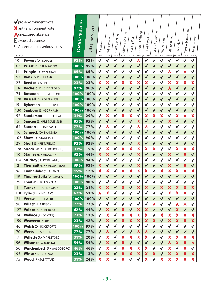| <b>DISTRICT</b> | pro-environment vote<br>X anti-environment vote<br><b>Aunexcused absence</b><br>$\mathsf E$ excused absence<br>** Absent due to serious illness | 126th Legislature | Score<br>Lifetime | Alewives<br>LD 72         | Wind Power<br>LD 385 | GMO Labeling<br>LD 718 | Climate Change<br>LD 825 | Healthy Kids<br>LD 1181 | Open-Pit Mining<br>LD 1302 | Paint Recycling<br>LD 1308 | Protection<br>Lakes  <br>LD 1744 | Water Bond<br>LD 1455 | Mining Rules<br>LD 1772   | Food Hubs<br>LD 1431 | Timber Harvesting<br>LD 1838 | Solar Rebate<br>LD 1252 |
|-----------------|-------------------------------------------------------------------------------------------------------------------------------------------------|-------------------|-------------------|---------------------------|----------------------|------------------------|--------------------------|-------------------------|----------------------------|----------------------------|----------------------------------|-----------------------|---------------------------|----------------------|------------------------------|-------------------------|
| 101             | <b>Powers (D - NAPLES)</b>                                                                                                                      | 92%               | 92%               | $\checkmark$              | $\checkmark$         | √                      | √                        | $\checkmark$            | A                          | $\checkmark$               | $\checkmark$                     | √                     |                           | √                    | $\checkmark$                 | $\checkmark$            |
| 63              | <b>Priest</b> (D - BRUNSWICK)                                                                                                                   | 100%              | 95%               | $\checkmark$              | $\checkmark$         | $\blacklozenge$        | $\checkmark$             | $\checkmark$            | $\checkmark$               | $\checkmark$               | √                                | ✔                     | $\checkmark$              | $\checkmark$         | $\checkmark$                 | $\checkmark$            |
| 111             | Pringle (D - WINDHAM)                                                                                                                           | 85%               | 85%               | $\checkmark$              | $\checkmark$         |                        | ✔                        | √                       | √                          | √                          | √                                | √                     | Α                         | ✔                    | Α                            | $\checkmark$            |
| 97              | Rankin (D - HIRAM)                                                                                                                              | 100%              | 100%              | $\checkmark$              | $\checkmark$         | ✔                      | ✔                        | $\checkmark$            | $\checkmark$               | √                          | $\checkmark$                     | $\checkmark$          | $\checkmark$              | $\checkmark$         | $\checkmark$                 | $\checkmark$            |
| 23              | Reed (R - CARMEL)                                                                                                                               | 23%               | 23%               | $\boldsymbol{\mathsf{x}}$ | X                    |                        | ×                        | X                       | X                          | X                          | $\checkmark$                     | $\checkmark$          | X                         | ×                    | ×                            | X                       |
| 136             | Rochelo (D - BIDDEFORD)                                                                                                                         | 92%               | 96%               | $\checkmark$              | $\checkmark$         | $\checkmark$           | $\checkmark$             | $\checkmark$            | $\checkmark$               | $\checkmark$               | $\checkmark$                     | $\checkmark$          | A                         | $\checkmark$         | $\checkmark$                 | $\checkmark$            |
| 74              | Rotundo (D - LEWISTON)                                                                                                                          | 100%              | 100%              | $\checkmark$              | √                    |                        | ✔                        |                         | √                          | √                          | $\checkmark$                     | √                     | $\checkmark$              | √                    | $\checkmark$                 | $\checkmark$            |
| 120             | <b>Russell</b> (D - PORTLAND)                                                                                                                   | 100%              | 100%              | $\checkmark$              | $\checkmark$         | √                      | $\checkmark$             | $\checkmark$            | $\checkmark$               | √                          | $\checkmark$                     | $\checkmark$          | $\checkmark$              | $\checkmark$         | $\checkmark$                 | $\checkmark$            |
| 151             | Rykerson (D - KITTERY)                                                                                                                          | 100%              | 100%              | $\checkmark$              | $\checkmark$         | √                      | ✔                        | $\checkmark$            | $\checkmark$               | √                          | $\checkmark$                     | $\checkmark$          | $\checkmark$              | √                    | √                            | $\checkmark$            |
| 130             | Sanborn (D - GORHAM)                                                                                                                            | 100%              | 100%              | $\checkmark$              | $\checkmark$         |                        | $\checkmark$             | $\checkmark$            | $\checkmark$               | $\checkmark$               | $\checkmark$                     | $\sqrt{}$             | $\checkmark$              | √                    | $\sqrt{}$                    | $\checkmark$            |
| 52              | <b>Sanderson (R - CHELSEA)</b>                                                                                                                  | 31%               | 29%               | $\checkmark$              | ×                    |                        | X                        | X                       | $\checkmark$               | X                          | X                                | X                     | $\checkmark$              | ×                    | Α                            | X                       |
| 5               | <b>Saucier</b> (D - PRESQUE ISLE)                                                                                                               | 85%               | 85%               | $\checkmark$              | $\checkmark$         | $\checkmark$           | $\checkmark$             | $\checkmark$            | X                          | $\checkmark$               | $\checkmark$                     | $\checkmark$          | X                         | $\checkmark$         | $\checkmark$                 | $\checkmark$            |
| 64              | <b>Saxton (D - HARPSWELL)</b>                                                                                                                   | 77%               | 77%               | $\checkmark$              | A                    |                        | √                        | √                       | A                          | Α                          | √                                | √                     | √                         | √                    |                              | $\checkmark$            |
| 16              | <b>Schneck (D - BANGOR)</b>                                                                                                                     | 100%              | 100%              | $\checkmark$              | √                    | ✔                      | ✔                        | $\checkmark$            | $\checkmark$               | $\checkmark$               | $\checkmark$                     | $\checkmark$          | $\checkmark$              | √                    | $\checkmark$                 | $\checkmark$            |
| 102             | <b>Shaw</b> (D - STANDISH)                                                                                                                      | 100%              | 90%               | $\checkmark$              | $\checkmark$         |                        | $\checkmark$             |                         | $\checkmark$               | √                          | $\checkmark$                     | $\checkmark$          | $\checkmark$              | $\checkmark$         |                              | $\checkmark$            |
| 29              | <b>Short</b> (D - PITTSFIELD)                                                                                                                   | 92%               | 92%               | $\checkmark$              | $\checkmark$         | $\checkmark$           | $\checkmark$             | $\checkmark$            | ×                          | $\checkmark$               | $\checkmark$                     | $\checkmark$          | $\checkmark$              | $\checkmark$         | $\checkmark$                 | $\checkmark$            |
| 128             | <b>Sirocki</b> (R - SCARBOROUGH)                                                                                                                | 31%               | 15%               | $\checkmark$              | X                    |                        | ×                        | X                       | $\boldsymbol{\mathsf{x}}$  | X                          | X                                | $\checkmark$          | $\checkmark$              | X                    | ×                            | X                       |
| 10              | <b>Stanley (D - MEDWAY)</b>                                                                                                                     | 62%               | 44%               | ×                         | ×                    | √                      | $\checkmark$             | $\checkmark$            | X                          | $\checkmark$               | $\checkmark$                     | $\checkmark$          | ×                         | $\checkmark$         | X                            | $\checkmark$            |
| 114             | <b>Stuckey (D - PORTLAND)</b>                                                                                                                   | 100%              | 94%               | $\checkmark$              | $\checkmark$         | √                      | √                        | $\checkmark$            | $\checkmark$               | $\checkmark$               | $\checkmark$                     | $\checkmark$          | $\checkmark$              | √                    | $\checkmark$                 | $\checkmark$            |
| $\overline{2}$  | Theriault (D - MADAWASKA)                                                                                                                       | 69%               | 83%               | $\boldsymbol{\mathsf{x}}$ | $\checkmark$         | $\sqrt{}$              | $\checkmark$             | $\checkmark$            | X                          | $\checkmark$               | $\blacklozenge$                  | $\sqrt{}$             | X                         | $\sqrt{}$            | X                            | $\checkmark$            |
| 96              | Timberlake (R - TURNER)                                                                                                                         | 15%               | 12%               | $\boldsymbol{\mathsf{x}}$ | ×                    |                        | X                        | ×                       | X                          | X                          | $\checkmark$                     | X                     | X                         | ×                    | ×                            | X                       |
| 19              | Tipping-Spitz (D - ORONO)                                                                                                                       | 100%              | 100%              | $\checkmark$              | $\checkmark$         | $\checkmark$           | $\checkmark$             | $\checkmark$            | $\checkmark$               | $\checkmark$               | $\checkmark$                     | $\checkmark$          | $\checkmark$              | $\checkmark$         | $\checkmark$                 | $\checkmark$            |
| 79              | Treat (D - HALLOWELL)                                                                                                                           | 100%              | 98%               | $\checkmark$              | √                    |                        | √                        | √                       | √                          | √                          | √                                | √                     | √                         | √                    |                              | √                       |
| 11              | <b>Turner (R - BURLINGTON)</b>                                                                                                                  | 23%               | 21%               | $\boldsymbol{\mathsf{x}}$ | ×                    | $\sqrt{}$              | X                        | $\sqrt{}$               | ×                          | ×                          |                                  | ×                     | ×                         | ×                    | ×                            | X                       |
| 110             | Tyler (R - WINDHAM)                                                                                                                             | 62%               | 51%               | A                         | ×                    |                        | √                        |                         | √                          | √                          | $\checkmark$                     | $\checkmark$          | ×                         | ×                    | ×                            | $\checkmark$            |
| 21              | <b>Verow</b> (D - BREWER)                                                                                                                       | 100%              | 100%              | $\checkmark$              | $\checkmark$         | √                      | $\blacklozenge$          | ✔                       | √                          | ✔                          | $\checkmark$                     | $\checkmark$          | $\checkmark$              | $\checkmark$         | $\blacklozenge$              | $\blacklozenge$         |
| 98              | <b>Villa</b> (D - HARRISON)                                                                                                                     | 77%               | 77%               | $\checkmark$              | ✔                    |                        | √                        |                         | √                          |                            | A                                | ✔                     |                           | A                    | A                            | √                       |
| 127             | <b>Volk</b> (R - SCARBOROUGH)                                                                                                                   | 62%               | 44%               | $\checkmark$              | ×                    | ✔                      | ×                        | ✔                       | ×                          | ×                          | $\checkmark$                     | $\checkmark$          | $\checkmark$              | ×                    | ✔                            | ✔                       |
| 24              | <b>Wallace (R - DEXTER)</b>                                                                                                                     | 23%               | 12%               | $\checkmark$              | ×                    |                        | ×                        | ×                       | ×                          | ×                          | $\checkmark$                     | ×                     | X.                        | X.                   | ×                            | ×                       |
| 150             | Weaver (R - YORK)                                                                                                                               | 23%               | 42%               | $\checkmark$              | ×                    | ✔                      | ×                        | ×                       | ×                          | ×                          | ×                                | $\blacklozenge$       | ×                         | ×                    | X.                           | ×                       |
| 46              | <b>Welsh (D - ROCKPORT)</b>                                                                                                                     | 100%              | 97%               | $\checkmark$              | ✔                    |                        | √                        | ✔                       | $\checkmark$               | $\checkmark$               | $\checkmark$                     | $\checkmark$          | ✔                         | √                    | ✔                            | √                       |
| 70              | <b>Werts (D - AUBURN)</b>                                                                                                                       | 77%               | 77%               | $\checkmark$              | A                    | ✔                      | ✔                        | ✔                       | A                          | A                          | $\checkmark$                     | ✔                     | $\checkmark$              | ✔                    | √                            | ✔                       |
| 7               | <b>Willette (R - MAPLETON)</b>                                                                                                                  | 31%               | 20%               | $\checkmark$              | x                    | ✓                      | ×                        | ×                       | ×                          | ×                          | $\checkmark$                     | ✔                     | X.                        | ×                    | ×                            | ×                       |
| 56              | <b>Wilson</b> (R - AUGUSTA)                                                                                                                     | 54%               | 54%               | $\checkmark$              | ×                    | $\blacklozenge$        | ×                        | √                       | ✔                          | √                          | $\blacklozenge$                  | $\checkmark$          | A                         | ×                    | ×                            | A                       |
| 50              | <b>Winchenbach (R-WALDOBORO)</b>                                                                                                                | 46%               | 46%               | $\checkmark$              | ×                    | √                      | ×                        | ×                       | ×                          | ×                          | $\checkmark$                     | $\checkmark$          | ×                         | $\checkmark$         | ×                            | √                       |
| 95              | <b>Winsor (R - NORWAY)</b>                                                                                                                      | 23%               | 13%               | $\checkmark$              | X                    | $\checkmark$           | ×                        | ×                       | X                          | X                          | $\boldsymbol{\mathsf{x}}$        | $\checkmark$          | $\boldsymbol{\mathsf{x}}$ | X                    | $\boldsymbol{\mathsf{x}}$    | X                       |
| 75              | <b>Wood</b> (R - SABATTUS)                                                                                                                      | 31%               | 24%               | X                         | ×                    |                        | X                        |                         |                            | X                          |                                  | ×                     | x                         | ×                    | X                            | X                       |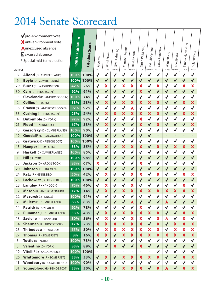## 2014 Senate Scorecard

| <b>DISTRICT</b> | pro-environment vote<br>X anti-environment vote<br><b>Aunexcused absence</b><br>E excused absence<br>* Special mid-term election | 126th Legislature | Lifetime Score | Alewives<br>LD 72         | Wind Power<br>LD 385      | GMO Labeling<br>LD 718    | Climate Change<br>LD 825  | Healthy Kids<br>LD 1181   | Open-Pit Mining<br>LD 1302 | Paint Recycling<br>LD 1308 | Lakes Protection<br>LD 1744 | Water Bond<br>LD 1455 | Food Hubs<br>LD 1431      | Timber Harvesting<br>LD 1838 | Solar Rebate<br>LD 1252   |  |
|-----------------|----------------------------------------------------------------------------------------------------------------------------------|-------------------|----------------|---------------------------|---------------------------|---------------------------|---------------------------|---------------------------|----------------------------|----------------------------|-----------------------------|-----------------------|---------------------------|------------------------------|---------------------------|--|
| 8               | Alfond (D - CUMBERLAND)                                                                                                          | 100%              | 100%           | $\checkmark$              | $\checkmark$              | $\checkmark$              | $\checkmark$              | $\checkmark$              | $\checkmark$               | $\checkmark$               | $\checkmark$                | $\checkmark$          | $\checkmark$              | $\checkmark$                 | $\checkmark$              |  |
| 6               | <b>Boyle (D - CUMBERLAND)</b>                                                                                                    | 100%              | 100%           | $\checkmark$              | $\checkmark$              | $\checkmark$              | $\checkmark$              | $\checkmark$              | $\checkmark$               | $\checkmark$               | $\checkmark$                | $\checkmark$          | ✔                         | $\checkmark$                 | $\checkmark$              |  |
| 29              | <b>Burns (R - WASHINGTON)</b>                                                                                                    | 42%               | 26%            | $\checkmark$              | X                         | $\checkmark$              | $\boldsymbol{\mathsf{x}}$ | X                         | ×                          | $\checkmark$               | X                           | ✔                     | $\checkmark$              | X                            | X                         |  |
| 30              | <b>Cain (D - PENOBSCOT)</b>                                                                                                      | 92%               | 91%            | $\checkmark$              | $\checkmark$              | $\checkmark$              | $\blacklozenge$           | $\checkmark$              | ×                          | $\blacklozenge$            | $\checkmark$                | $\checkmark$          | √                         | $\checkmark$                 | $\checkmark$              |  |
| 15              | <b>Cleveland</b> (D - ANDROSCOGGIN)                                                                                              | 100%              | 74%            | $\checkmark$              | $\checkmark$              | $\checkmark$              | $\checkmark$              | $\checkmark$              | $\checkmark$               | $\checkmark$               | $\checkmark$                | $\checkmark$          | $\checkmark$              | $\checkmark$                 | $\checkmark$              |  |
| $\overline{2}$  | <b>Collins (R - YORK)</b>                                                                                                        | 33%               | 23%            | $\checkmark$              | $\boldsymbol{\mathsf{x}}$ | $\checkmark$              | $\boldsymbol{\mathsf{x}}$ | X                         | $\boldsymbol{\mathsf{x}}$  | X                          | X                           | $\checkmark$          | $\checkmark$              | X                            | X                         |  |
| 16              | <b>Craven</b> (D - ANDROSCROGGIN)                                                                                                | 92%               | 92%            | $\checkmark$              | √                         | $\checkmark$              | $\checkmark$              | A                         | $\checkmark$               | $\checkmark$               | $\checkmark$                |                       | $\checkmark$              | $\checkmark$                 | $\checkmark$              |  |
| 33              | <b>Cushing (R - PENOBSCOT)</b>                                                                                                   | 25%               | 24%            | $\checkmark$              | ×                         | X                         | X                         | ×                         | ×                          | X                          | X                           |                       | $\checkmark$              | X                            | X                         |  |
| 4               | <b>Dutremble (D - YORK)</b>                                                                                                      | 92%               | 92%            | $\checkmark$              | √                         | $\checkmark$              | $\checkmark$              |                           | X                          | $\checkmark$               | $\checkmark$                |                       | √                         | $\checkmark$                 | $\checkmark$              |  |
| 21              | Flood (R - KENNEBEC)                                                                                                             | 67%               | 53%            | $\checkmark$              | $\boldsymbol{\mathsf{x}}$ | $\checkmark$              | $\checkmark$              | $\checkmark$              | $\boldsymbol{\mathsf{x}}$  | $\checkmark$               | $\boldsymbol{\mathsf{x}}$   | $\checkmark$          | $\checkmark$              | $\checkmark$                 | X                         |  |
| 10              | <b>Gerzofsky (D - CUMBERLAND)</b>                                                                                                | 100%              | 90%            | $\checkmark$              | $\checkmark$              | $\checkmark$              | $\checkmark$              | $\checkmark$              | $\checkmark$               | $\checkmark$               | $\checkmark$                | $\checkmark$          | $\checkmark$              | $\checkmark$                 | $\checkmark$              |  |
| 19              | Goodall* (D - SAGADAHOC)                                                                                                         | 100%              | 100%           | $\checkmark$              | $\checkmark$              | $\checkmark$              | $\checkmark$              | $\checkmark$              | $\checkmark$               | $\checkmark$               | $\overline{\phantom{0}}$    |                       | $\overline{\phantom{a}}$  | -                            | -                         |  |
| 32              | <b>Gratwick (D - PENOBSCOT)</b>                                                                                                  | 100%              | 100%           | $\checkmark$              | √                         | $\checkmark$              | $\checkmark$              | √                         | $\checkmark$               | $\checkmark$               | $\checkmark$                | $\checkmark$          | $\checkmark$              | $\checkmark$                 | $\checkmark$              |  |
| 13              | Hamper (R - OXFORD)                                                                                                              | 33%               | 35%            | $\checkmark$              | ×                         | $\checkmark$              | X                         | X                         | X                          | $\blacklozenge$            | $\boldsymbol{\mathsf{x}}$   | $\checkmark$          | ×                         | X                            | X                         |  |
| 9               | Haskell (D - CUMBERLAND)                                                                                                         | 100%              | 85%            | $\checkmark$              | $\checkmark$              | $\checkmark$              | $\checkmark$              | $\checkmark$              | $\checkmark$               | $\checkmark$               | $\checkmark$                | $\checkmark$          | $\checkmark$              | $\checkmark$                 | $\checkmark$              |  |
| $\mathbf{1}$    | <b>Hill</b> (D - YORK)                                                                                                           | 100%              | 98%            | $\checkmark$              | $\checkmark$              | $\checkmark$              | $\checkmark$              | $\checkmark$              | $\checkmark$               | $\checkmark$               | $\checkmark$                | $\checkmark$          | $\checkmark$              | $\checkmark$                 | $\checkmark$              |  |
| 35              | Jackson (D - AROOSTOOK)                                                                                                          | 83%               | 67%            | ×                         | $\checkmark$              | $\checkmark$              | $\checkmark$              |                           | X                          | $\checkmark$               | $\checkmark$                |                       | $\checkmark$              | $\checkmark$                 | $\checkmark$              |  |
| 20              | <b>Johnson (D - LINCOLN)</b>                                                                                                     | 100%              | 100%           | $\checkmark$              | $\checkmark$              | $\checkmark$              | $\checkmark$              | $\checkmark$              | $\checkmark$               | $\checkmark$               | $\checkmark$                |                       | $\checkmark$              | $\checkmark$                 | $\checkmark$              |  |
| 24              | <b>Katz</b> (R - KENNEBEC)                                                                                                       | 50%               | 42%            | $\checkmark$              | X                         | $\checkmark$              | $\checkmark$              | ×                         | ×                          | $\checkmark$               | X                           |                       | $\checkmark$              | X                            | X                         |  |
| 25              | Lachowicz (D - KENNEBEC)                                                                                                         | 100%              | 100%           | $\checkmark$              | $\checkmark$              | $\checkmark$              | $\checkmark$              | $\checkmark$              | $\checkmark$               | $\checkmark$               | $\checkmark$                | $\checkmark$          | $\checkmark$              | $\checkmark$                 | $\checkmark$              |  |
| 28              | Langley (R - HANCOCK)                                                                                                            | 75%               | 46%            | $\checkmark$              | X                         | $\checkmark$              | $\checkmark$              | X                         | $\checkmark$               | $\checkmark$               | $\checkmark$                | $\checkmark$          | $\checkmark$              | X                            | $\checkmark$              |  |
| 17              | <b>Mason (R - ANDROSCOGGIN)</b>                                                                                                  | 17%               | 14%            | $\checkmark$              | X                         | $\checkmark$              | ×                         | X                         | X                          | X                          | X                           | X                     | X                         | ×                            | X                         |  |
| 22              | Mazurek (D - KNOX)                                                                                                               | 100%              | 91%            | $\checkmark$              |                           |                           | $\checkmark$              |                           |                            | √                          |                             |                       |                           | √                            |                           |  |
| 7               | <b>Millett</b> (D - CUMBERLAND)                                                                                                  | 83%               | 83%            | ✔                         | ✔                         | ✔                         | ✔                         | Α                         | ✔                          | ✔                          | ✔                           | Α                     | ✔                         | ✔                            | ✔                         |  |
| 14              | Patrick (D - OXFORD)                                                                                                             | 92%               | 78%            | $\checkmark$              |                           | $\checkmark$              | $\checkmark$              | $\checkmark$              | ×                          | $\checkmark$               |                             |                       | $\checkmark$              | $\checkmark$                 | $\checkmark$              |  |
| 12              | <b>Plummer</b> (R - CUMBERLAND)                                                                                                  | 33%               | 43%            | $\checkmark$              | $\boldsymbol{\mathsf{x}}$ | $\checkmark$              | $\boldsymbol{\mathsf{x}}$ | ×                         | $\boldsymbol{\mathsf{x}}$  | $\boldsymbol{\mathsf{X}}$  | ×                           | $\checkmark$          | $\checkmark$              | $\boldsymbol{\mathsf{x}}$    | $\boldsymbol{\mathsf{x}}$ |  |
| 18              | Saviello (R - FRANKLIN)                                                                                                          | 50%               | 56%            | $\checkmark$              | $\boldsymbol{\mathsf{x}}$ | $\checkmark$              | $\checkmark$              | ×                         | ×                          | $\checkmark$               | ×                           | A                     | $\checkmark$              | ×                            | $\checkmark$              |  |
| 34              | <b>Sherman</b> (R - AROOSTOOK)                                                                                                   | 17%               | 23%            | ×                         | $\boldsymbol{\mathsf{x}}$ | ×                         | ×                         | X                         | ×                          | $\blacklozenge$            | ×                           | $\checkmark$          | ×                         | ×                            | $\boldsymbol{\mathsf{x}}$ |  |
| 23              | Thibodeau (R - WALDO)                                                                                                            | 17%               | 30%            | $\checkmark$              | ×                         | $\boldsymbol{\mathsf{x}}$ | ×                         | ×                         | ×                          | ×                          | ×                           | $\checkmark$          | ×                         | ×                            | $\boldsymbol{\mathsf{x}}$ |  |
| 27              | <b>Thomas (R - SOMERSET)</b>                                                                                                     | 8%                | 16%            | $\boldsymbol{\mathsf{x}}$ | ×                         | $\checkmark$              | $\boldsymbol{\mathsf{x}}$ | ×                         | $\boldsymbol{\mathsf{x}}$  | $\boldsymbol{\mathsf{x}}$  | $\boldsymbol{\mathsf{x}}$   | ×                     | $\boldsymbol{\mathsf{x}}$ | $\boldsymbol{\mathsf{x}}$    | $\boldsymbol{\mathsf{x}}$ |  |
| 3               | Tuttle (D - YORK)                                                                                                                | 100%              | 73%            | $\checkmark$              | $\checkmark$              | $\checkmark$              | $\checkmark$              | $\checkmark$              | $\checkmark$               | $\checkmark$               | $\checkmark$                | $\checkmark$          | $\checkmark$              | √                            | $\checkmark$              |  |
| 5               | Valentino (D - YORK)                                                                                                             | 83%               | 89%            | $\checkmark$              | $\checkmark$              | $\boldsymbol{\mathsf{x}}$ | $\checkmark$              | $\checkmark$              | $\boldsymbol{\mathsf{x}}$  | $\checkmark$               | $\blacktriangledown$        | $\checkmark$          | $\checkmark$              | $\blacklozenge$              | $\checkmark$              |  |
| 19              | Vitelli* (D - SAGADAHOC)                                                                                                         | 100%              | 100%           |                           |                           |                           |                           |                           |                            | $\overline{\phantom{m}}$   | $\checkmark$                | ✔                     | $\checkmark$              | $\checkmark$                 | $\checkmark$              |  |
| 26              | <b>Whittemore (R - SOMERSET)</b>                                                                                                 | 33%               | 33%            | $\checkmark$              | ×                         | $\blacklozenge$           | $\bm{x}$                  | ×                         | $\bm{x}$                   | $\boldsymbol{\mathsf{x}}$  | $\bm{x}$                    |                       | $\checkmark$              | $\boldsymbol{\mathsf{x}}$    | $\boldsymbol{\mathsf{x}}$ |  |
| 11              | Woodbury (U - CUMBERLAND)                                                                                                        | 100%              | 90%            | $\checkmark$              | $\checkmark$              | $\checkmark$              | $\checkmark$              | $\checkmark$              | $\checkmark$               | $\checkmark$               | $\checkmark$                |                       | $\checkmark$              | $\checkmark$                 | $\checkmark$              |  |
| 31              | Youngblood (R - PENOBSCOT)                                                                                                       | 33%               | 30%            | ✔                         | ×                         | $\checkmark$              | ×                         | $\boldsymbol{\mathsf{x}}$ | $\boldsymbol{\mathsf{x}}$  | $\checkmark$               | $\boldsymbol{\mathsf{x}}$   |                       |                           | ×                            | $\bm{x}$                  |  |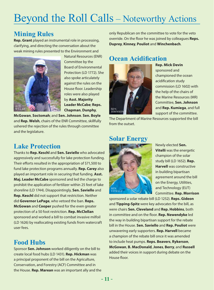## Beyond the Roll Calls – Noteworthy Actions

## **Mining Rules**

**Rep. Grant** played an instrumental role in processing, clarifying, and directing the conversation about the weak mining rules presented to the Environment and



Natural Resources (ENR) Committee by the Board of Environmental Protection (LD 1772). She also spoke articulately against the rules on the House floor. Leadership roles were also played by **Asst. Majority Leader McCabe**; **Reps.** 

**McGowan**, **Soctomah**; and **Sen. Johnson**. **Sen. Boyle** and **Rep. Welsh**, chairs of the ENR Committee, skillfully ushered the rejection of the rules through committee and the legislature.

## **Lake Protection**

Thanks to **Rep. Keschl** and **Sen. Saviello** who advocated aggressively and successfully for lake protection funding. Their efforts resulted in the appropriation of \$71,500 to fund lake protection programs annually. **Rep. Carey** also played an important role in securing that funding. **Asst. Maj. Leader McCabe** sponsored and led the charge to prohibit the application of fertilizer within 25 feet of lake shoreline (LD 1744). Disappointingly, **Sen. Saviello** and **Rep. Keschl** did not support that restriction. Neither did **Governor LePage**, who vetoed the ban. **Reps. McGowan** and **Cooper** pushed for the even greater protection of a 50 foot restriction. **Rep. McClellan** sponsored and worked a bill to combat invasive milfoil (LD 1626) by reallocating existing funds from watercraft user fees.

## **Food Hubs**

Sponsor **Sen. Johnson** worked diligently on the bill to create local food hubs (LD 1431). **Rep. Hickman** was a principal proponent of the bill on the Agriculture, Conservation, and Forestry (ACF) Committee and in the House. **Rep. Marean** was an important ally and the only Republican on the committee to vote for the veto override. On the floor he was joined by colleagues **Reps. Duprey**, **Kinney**, **Pouliot** and **Winchenbach**.

## **Ocean Acidification**



**Rep. Mick Devin** sponsored and championed the ocean acidification study commission (LD 1602) with the help of the chairs of the Marine Resources (MR) Committee, **Sen. Johnson** and **Rep. Kumiega**, and full support of the committee.

The Department of Marine Resources supported the bill from the outset.

## **Solar Energy**



Newly elected **Sen. Vitelli** was the energetic champion of the solar study bill (LD 1652). **Rep. Harvell** was constructive in building bipartisan agreement around the bill on the Energy, Utilities, and Technology (EUT) Committee. **Rep. Morrison**

sponsored a solar rebate bill (LD 1252). **Reps. Gideon** and **Tipping-Spitz** were key advocates for the bill, as were chairs **Sen. Cleveland** and **Rep. Hobbins**, both in committee and on the floor. **Rep. Newendyke** led the way in building bipartisan support for the rebate bill in the House. **Sen. Saviello** and **Rep. Pouliot** were unwavering early supporters. **Rep. Harvell** became a champion of the rebate bill once it was amended to include heat pumps. **Reps. Beavers**, **Rykerson**, **McGowan**, **B. MacDonald**, **Jones**, **Berry**, and **Russell** added their voices in support during debate on the House floor.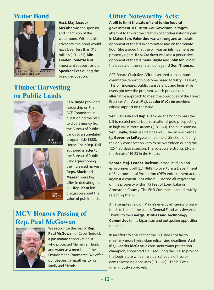## **Water Bond**



### **Asst. Maj. Leader**

**McCabe** was the sponsor and champion of the water bond. Without his advocacy, the bond would have been less than \$10 million (LD 1455). **Min. Leader Fredette** lent important support, as did **Speaker Eves** during the bond negotiation.

## **Timber Harvesting on Public Lands**





**Sen. Boyle** provided leadership on the ACF Committee in questioning the plan to divert money from the Bureau of Public Lands to an unrelated program (LD 1838). House Chair **Rep. Dill** authored a letter to the Bureau of Public Lands questioning the increased harvest. **Reps. Black** and **Marean** were key allies in defeating the bill. **Rep. Kent** led discussion about the value of public lands.

## **MCV Honors Passing of Rep. Paul McGowan**



We recognize the loss of **Rep. Paul McGowan** of Cape Neddick, a passionate conservationist who protected Maine's air, land, and water as a member of the Environment Committee. We offer our deepest sympathies to his family and friends.

## **Other Noteworthy Acts:**

**A bill to limit the sale of land to the federal government**, (LD 1828), was **Governor LePage's** attempt to thwart the creation of another national park in Maine. **Sen. Valentino** was a strong and articulate opponent of the bill in committee and on the Senate floor. She argued that the bill was an infringement on property rights. **Rep. Crockett** was also a persuasive opponent of the bill. **Sens. Boyle** and **Johnson** joined the debate on the Senate floor against **Sen. Thomas**.

ACF Senate Chair **Sen. Vitelli** secured a unanimous committee report on outcome based forestry (LD 1847). This bill increases public transparency and legislative oversight over the program, which provides an alternative approach to meet the objectives of the Forest Practices Act. **Asst. Maj. Leader McCabe** provided critical support on the issue.

**Sen. Saviello** and **Rep. Black** led the fight to pass the bill to restrict motorized, recreational gold prospecting in high value trout streams (LD 1671). The bill's sponsor, **Sen. Boyle**, deserves credit as well. The bill was vetoed by **Governor LePage** and had the distinction of being the only conservation veto to be overridden during the 126<sup>th</sup> legislative session. The votes were strong: 32-0 in the Senate; 119-23 in the House.

**Senate Maj. Leader Jackson** introduced an antienvironment bill (LD 1848) to overturn a Department of Environmental Protection (DEP) enforcement action against a constituent who bull-dozed all vegetation on his property within 75 feet of Long Lake in Aroostook County. The ENR Committee acted swiftly rejecting the bill.

An attempted raid on Maine's energy efficiency program funds to benefit the state's General Fund was thwarted. Thanks to the **Energy, Utilities and Technology Committee** for its bipartisan and outspoken opposition to the raid.

In an effort to ensure that the DEP does not fail to meet any more hydro-dam relicensing deadlines, **Asst. Maj. Leader McCabe**, a consistent water protection champion, sponsored a bill requiring the DEP to provide the Legislature with an annual schedule of hydrodam relicensing deadlines (LD 1826). The bill was unanimously approved.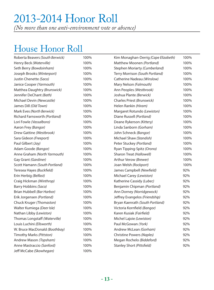## 2013-2014 Honor Roll

*(No more than one anti-environment vote or absence)*

## House Honor Roll

| Roberta Beavers (South Berwick) | 100% | Kim Monaghan-Derrig (Cape Elizabeth) | 100% |
|---------------------------------|------|--------------------------------------|------|
| Henry Beck (Waterville)         | 100% | Matthew Moonen (Portland)            | 100% |
| Seth Berry (Bowdoinham)         | 100% | Stephen Moriarty (Cumberland)        | 100% |
| Joseph Brooks (Winterport)      | 100% | Terry Morrison (South Portland)      | 100% |
| Justin Chenette (Saco)          | 100% | Catherine Nadeau (Winslow)           | 100% |
| Janice Cooper (Yarmouth)        | 100% | Mary Nelson (Falmouth)               | 100% |
| Matthea Daughtry (Brunswick)    | 100% | Ann Peoples (Westbrook)              | 100% |
| Jennifer DeChant (Bath)         | 100% | Joshua Plante (Berwick)              | 100% |
| Michael Devin (Newcastle)       | 100% | Charles Priest (Brunswick)           | 100% |
| James Dill (Old Town)           | 100% | Helen Rankin (Hiram)                 | 100% |
| Mark Eves (North Berwick)       | 100% | Margaret Rotundo (Lewiston)          | 100% |
| Richard Farnsworth (Portland)   | 100% | Diane Russell (Portland)             | 100% |
| Lori Fowle (Vassalboro)         | 100% | Deane Rykerson (Kittery)             | 100% |
| Aaron Frey (Bangor)             | 100% | Linda Sanborn (Gorham)               | 100% |
| Drew Gattine (Westbrook)        | 100% | John Schneck (Bangor)                | 100% |
| Sara Gideon (Freeport)          | 100% | Michael Shaw (Standish)              | 100% |
| Paul Gilbert (Jay)              | 100% | Peter Stuckey (Portland)             | 100% |
| Adam Goode (Bangor)             | 100% | Ryan Tipping-Spitz (Orono)           | 100% |
| Anne Graham (North Yarmouth)    | 100% | Sharon Treat (Hallowell)             | 100% |
| Gay Grant (Gardiner)            | 100% | Arthur Verow (Brewer)                | 100% |
| Scott Hamann (South Portland)   | 100% | Joan Welsh (Rockport)                | 100% |
| Teresea Hayes (Buckfield)       | 100% | James Campbell (Newfield)            | 92%  |
| Erin Herbig (Belfast)           | 100% | Michael Carey (Lewiston)             | 92%  |
| Craig Hickman (Winthrop)        | 100% | Katherine Cassidy (Lubec)            | 92%  |
| Barry Hobbins (Saco)            | 100% | Benjamin Chipman (Portland)          | 92%  |
| Brian Hubbell (Bar Harbor)      | 100% | Ann Dorney (Norridgewock)            | 92%  |
| Erik Jorgensen (Portland)       | 100% | Jeffrey Evangelos (Friendship)       | 92%  |
| Chuck Kruger (Thomaston)        | 100% | Bryan Kaenrath (South Portland)      | 92%  |
| Walter Kumiega (Deer Isle)      | 100% | Victoria Kornfield (Bangor)          | 92%  |
| Nathan Libby (Lewiston)         | 100% | Karen Kusiak (Fairfield)             | 92%  |
| Thomas Longstaff (Waterville)   | 100% | Michel Lajoie (Lewiston)             | 92%  |
| Louis Luchini (Ellsworth)       | 100% | Paul McGowan (York)                  | 92%  |
| W. Bruce MacDonald (Boothbay)   | 100% | Andrew McLean (Gorham)               | 92%  |
| Timothy Marks (Pittston)        | 100% | Christine Powers (Naples)            | 92%  |
| Andrew Mason (Topsham)          | 100% | Megan Rochelo (Biddeford)            | 92%  |
| Anne Mastraccio (Sanford)       | 100% | Stanley Short (Pittsfield)           | 92%  |
| Jeff McCabe (Skowhegan)         | 100% |                                      |      |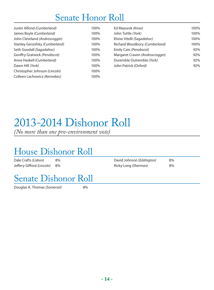## Senate Honor Roll

| Justin Alfond (Cumberland)     | 100% | Ed Mazurek (Knox)               | 100% |
|--------------------------------|------|---------------------------------|------|
| James Boyle (Cumberland)       | 100% | John Tuttle (York)              | 100% |
| John Cleveland (Androscoggin)  | 100% | Eloise Vitelli (Sagadahoc)      | 100% |
| Stanley Gerzofsky (Cumberland) | 100% | Richard Woodbury (Cumberland)   | 100% |
| Seth Goodall (Sagadahoc)       | 100% | Emily Cain (Penobscot)          | 92%  |
| Geoffry Gratwick (Penobscot)   | 100% | Margaret Craven (Androscroggin) | 92%  |
| Anne Haskell (Cumberland)      | 100% | Duremble Dutremble (York)       | 92%  |
| Dawn Hill (York)               | 100% | John Patrick (Oxford)           | 92%  |
| Christopher Johnson (Lincoln)  | 100% |                                 |      |
| Colleen Lachowicz (Kennebec)   | 100% |                                 |      |
|                                |      |                                 |      |

## 2013-2014 Dishonor Roll

*(No more than one pro-environment vote)*

# House Dishonor Roll

Dale Crafts (Lisbon) Jeffery Gifford *(Lincoln)* 8%

David Johnson (*Eddington)* 8% Ricky Long *(Sherman)* 8%

# Senate Dishonor Roll<br>Douglas A. Thomas *(Somerset)*

**Douglas A. Thomas** *(Somerset)*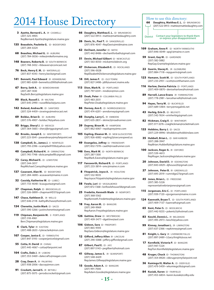## $2014$  House Directory  $\frac{1}{202}$  and  $\frac{1}{202}$  and  $\frac{1}{202}$  and  $\frac{1}{202}$  and  $\frac{1}{202}$  and  $\frac{1}{202}$  and  $\frac{1}{202}$  and  $\frac{1}{202}$  and  $\frac{1}{202}$  and  $\frac{1}{202}$  and  $\frac{1}{202}$  and  $\frac{1}{202}$  and  $\frac{1}{$

3 **Ayotte, Bernard L. A.**  (R - CASWELL) (207) 325-4905 RepBernard.Ayotte@legislature.maine.gov

135 **Beaudoin, Paulette G.** (D - BIDDEFORD) (207) 284-6324

- 68 **Beaulieu, Michael G.**  (R AUBURN) (207) 784-0036 • mike@mikeformaine.org
- 148 **Beavers, Roberta B.** (D -SOUTH BERWICK) (207) 748-3432 • rbbeavers@comcast.net
- 76 **Beck, Henry E. M.** (D WATERVILLE) (207) 837-4343 • henry.beck@gmail.com
- 141 **Bennett, Paul Edward** (R KENNEBUNK) (207) 985-6269 • bennettco2000@hotmail.com
- **67 Berry, Seth A.** (D BOWDOINHAM) (207) 287-1430 RepSeth.Berry@legislature.maine.gov
- 90 **Black, Russell J.** (R WILTON) (207) 645-2990 • russellblack@juno.com
- 142 Boland, Andrea M. (D SANFORD) (207) 324-4459 • sixwings@metrocast.net
- 69 Bolduc, Brian D. (D AUBURN) (207) 576-4907 • bolduc74@yahoo.com
- 93 **Briggs, Sheryl J.** (D MEXICO) (207) 364-5665 • sheryljbriggs@gmail.com
- 42 **Brooks, Joseph E.**  (U WINTERPORT) (207) 223-5041 • joeandmary@myfairpoint.net
- 138 **Campbell, Sr., James J.**  (I NEWFIELD) (207) 793-2396 • scampbell1936@yahoo.com
- **40 Campbell, Richard H. (R ORRINGTON)** (207) 745-7748 • dickcampbellllc@gmail.com
- 72 Carey, Michael E. (D LEWISTON) (207) 344-3017 RepMichael.Carey@legislature.maine.gov
- 137 Casavant, Alan M. (D BIDDEFORD) (207) 284-4690 • acasavant@maine.rr.com
- **32 Cassidy, Katherine W. (D LUBEC)** (207) 733-4648 • kcaugusta@gmail.com
- **37 Chapman, Ralph (D BROOKSVILLE)** (207) 326-0899 • chapmanHD37@gmail.com
- 147 Chase, Kathleen D. (R WELLS) (207) 646-2118 • kathydhchase@hotmail.com
- 134 **Chenette, Justin Mark**  (D SACO) (207) 590-3266 • justinchenette@gmail.com
- 119 Chipman, Benjamin M. (I PORTLAND) (207) 318-4961 Ben.Chipman@legislature.maine.gov
- **6 Clark, Tyler** (R EASTON) (207) 488-2633 • tyleraclark@msn.com
- 107 **Cooper, Janice E.**  (D YARMOUTH) (207) 847-3193 • cooperjanice0@gmail.com
- **55 Cotta, H. David (R CHINA)** (207) 445-4067 • cotta@fairpoint.net
- 104 **Crafts, Dale J.** (R LISBON) (207) 353-5469 • dalecrafts@reagan.com
- 28 Cray, Dean A. (R PALMYRA) (207) 938-2006 • dacray@msn.com
- **91 Crockett, Jarrod S. (R BETHEL)** (207) 875-5075 • jarrodscrockett@gmail.com
- 66 **Daughtry, Matthea E. L.**  (D BRUNSWICK) (207) 522-0913 • mattie@mattiedaughtry.com
- 26 **Davis, Sr., Paul T.** (R SANGERVILLE) (207) 876-4047 • RepDavis@midmaine.com
- 62 **DeChant, Jennifer**  (D BATH) (207) 442-8486 • dechantforbath@gmail.com
- 51 **Devin, Michael Gilbert**  (D NEWCASTLE) (207) 563-8350 • mick@mickdevin.org
- **47 Dickerson, Elizabeth E.** (D ROCKLAND) (207) 596-0028 RepElizabethDickerson@legislature.maine.gov
- 14 **Dill, James F.** (D OLD TOWN) (207) 827-3498 • jdill@umext.maine.edu
- 113 **Dion, Mark N.** (D PORTLAND) (207) 797-6341 • mndion@msn.com
- **33 Doak, Peter** (R COLUMBIA FALLS) (207) 483-2031 RepPeter.Doak@legislature.maine.gov
- 86 **Dorney, Ann E.** (D NORRIDGEWOCK) (207) 474-6201 • anndorney@gmail.com
- 88 Dunphy, Larry C. (R EMBDEN) (207) 635-2831 • skime2@roadrunner.com
- 39 **Duprey, Biran M.**  (R HAMPDEN) (207) 862-6067 • repduprey@me.com
- 105 **Espling, Eleanor M.**  (R NEW GLOUCESTER) (207) 926-6082 • espling2@securespeed.us
- 49 **Evangelos, Jeffrey**  (U FRIENDSHIP) (207) 832-7378 • caa04@roadrunner.com
- 146 **Eves, Mark W.** (D NORTH BERWICK) (207) 287-1300 RepMark.Eaves@legislature.maine.gov
- 117 **Fansworth, Richard R.** (D PORTLAND) (207) 233-3814 • omc@maine.rr.com
	- 8 **Fitzpatrick, Joyce A.** (R HOULTON) (207) 532-9035 RepJoyce.Fitzpatrick@legislature.maine.gov
- **58 Fowle, Lori (D VASSALBORO)** (207) 872-7268 • lorifowlehouse58@gmail.com
- 25 **Fredette, Kenneth Wade** (R NEWPORT) (207) 368-5562 RepKenneth.Fredette@legislature.maine.gov
- 18 Frey, Aaron M. (D BANGOR) (207) 249-9969
- RepAaron.Frey@legislature.maine.gov 126 Gattine, Drew (D - WESTBROOK) (207) 409-3477 • dgattine@aol.com
- 106 **Gideon, Sara**  (D FREEPORT) (207) 865-9593 RepSara.Gideon@legislature.maine.gov
- 12 **Gifford, Jeffery Allen** (R LINCOLN) (207) 290-5088 • jeffery.gifford@gmail.com
- 87 **Gilbert, Paul E.** (D JAY) (207) 897-5143 • pegilbert@hotmail.com
- 41 **Gillway, James S.** (R SEARSPORT) (207) 548-6429 RepJames.Gillway@legislature.maine.gov
- 15 Goode, Adam A. (D BANGOR) (207) 991-7000 RepAdam.Goode@legislature.maine.gov

- **Daughtry, Matthea E. L.** (D BRUNSWICK) (207) 522-0913 • mattie@mattiedaughtry.com District Contact your legislators to thank them or express your disappointment
- 109 **Graham, Anne P.** (D NORTH YARMOUTH) (207) 846-0049 • apg1@maine.rr.com
- 59 **Grant, Gay M.** (D GARDINER) (207) 582-5882 RepGay.Grant@legislature.maine.gov
- 22 Guerin, Stacey K. (R GLENBURN) (207) 884-7118 • repguerin@gmail.com
- 123 **Hamann, Scott M.** (D SOUTH PORTLAND) (207) 233-2951 • scott@scotthamann.com
- 116 **Harlow, Denise Patricia**  (D PORTLAND) (207) 409-0870 • deniseharlow@hotmail.com
- 89 **Harvell, Lance Evans** (R FARMINGTON) (207) 778-2981 • lanceharvell@hotmail.com
- 94 **Hayes, Terry M.** (D BUCKFIELD) (207) 689-5484 • terry@megalink.net
- 43 **Herbig, Erin D.** (D BELFAST) (207) 542-7654 • erinherbig@gmail.com
- 82 **Hickman, Craig V.** (D WINTHROP) (207) 377-3276 • craighickman@rocketmail.com
- 133 **Hobbins, Barry J.** (D SACO) (207) 229-8996 • bhobbins@hobbinslaw.com
- **35 Hubbell, Brian L. (D BAR HARBOR)** (207) 288-3947 RepBrian.Hubbell@legislature.maine.gov
- 100 **Jackson, Roger A.** (R OXFORD) (207) 539-4613 RepRoger.Jackson@legislature.maine.gov
- 20 **Johnson, David D.** (R EDDINGTON) (207) 843-6929 • djhouse20@gmail.com
- 27 **Johnson, Peter B.** (R GREENVILLE) (207) 695-2019 • rumridge27@gmail.com
- 45 **Jones, Brian L.** (D FREEDOM) (207) 385-5226 representativebrianjones@gmail.com
- 115 **Jorgensen, Eric C.** (D PORTLAND) (207) 939-7120 • ejorgensen@maine.rr.com
- 124 Kaenrath, Bryan T. (D SOUTH PORTLAND) (207) 409-7137 • kaenrath@gmail.com
- **65 Kent, Peter S. (D WOOLWICH)** (207) 442-9255 • pskentz5@hotmail.com
- 83 Keschl, Dennis L. (R BELGRADE) (207) 495-2973 • keschl@yahoo.com
- **99 Kinney, Jonathan L. (R LIMINGTON)** (207) 637-2366 • repkinney@gmail.com
- 81 **Knight, L. Gary**  (R LIVERMORE FALLS) (207) 897-2489 • LGary.Knight@usa.net
- 17 **Kornfield, Victoria P.** (D BANGOR) (207) 947-7224 RepTori.Kornfield@legislature.maine.gov
- **48 Kruger, Chuck (D-THOMASTON)** (207) 354-8928 • cbkruger@myfairpoint.net
- **36 Kumiega III, Walter A. (D DEER ISLE)** (207) 479-5459 • wkumiega36@gmail.com
- 84 Kusiak, Karen (D FAIRFIELD) (207) 453-6834 • karen.kusiak@colby.edu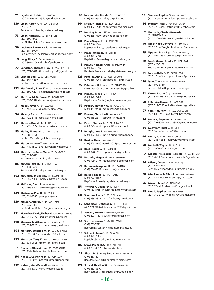- 71 Lajoie, Michel A. (D LEWISTON) (207) 783-1927 • lajoie1@midmaine.com
- 139 Libby, Aaron F. (R WATERBORO) (207) 247-6461 RepAaron.Libby@legislature.maine.gov
- 73 Libby, Nathan L. (D LEWISTON) (207) 399-7993 RepNathan.Libby@legislature.maine.gov
- **30 Lockman, Lawrence E. (R AMHERST)** (207) 584-5900 RepLawrence.Lockman@legislature.maine.gov
- **9 Long, Ricky D. (R SHERMAN)** (207) 365-4704 • rdl\_chief@yahoo.com
- 77 Longstaff, Thomas R. W. (D WATERVILLE) (207) 872-6617 • thomas.longstaff@gmail.com
- 38 **Luchini, Louis J.**  (D ELLSWORTH) (207) 664-4699 RepLouis.Luchini@legislature.maine.gov
- 132 MacDonald, Sharri K. (R OLD ORCHARD BEACH) (207) 590-4201 • smacdonald@maine.rr.com
- **61 MacDonald, W. Bruce** (D-BOOTHBAY) (207) 633-0570 • bmacdon@roadrunner.com
- 31 Maker, Joyce A. (R CALAIS) (207) 454-2327 • gjmaker@gmail.com
- 34 **Malaby, Richard S.** (R HANCOCK) (207) 422-3146 • rsmalaby@gmail.com
- 131 **Marean, Donald G.**  (R HOLLIS) (207) 727-5527 • lindonfarm@sacoriver.net
- **53 Marks, Timothy I.** (D PITTSTON) (207) 582-6798 RepTim.Marks@legislature.maine.gov
- **60 Mason, Andrew T.** (D TOPSHAM) (207) 449-1502 • andrew@andrewmason.pro
- 143 Mastraccio, Anne-Marie (D SANFORD) (207) 324-8692 annemariemastraccio@icloud.com
- 85 McCabe, Jeff M. (D SKOWHEGAN) (207) 474-5402 RepJeff.McCabe@legislature.maine.gov
- 103 McClellan, Michael D. (R RAYMOND) (207) 655-4438 • mmcclell@maine.rr.com
- 4 **McElwee, Carol A.** (R CARIBOU) (207) 498-8605 • cmcelwee@maine.rr.com
- 149 McGowan, Paul D. (D YORK) (207) 351-2585 • psmcgow@aol.com
- 129 **McLean, Andrew J.**  (D GORHAM) (207) 939-8482 RepAndrew.McLean@legislature.maine.gov
- 121 Monaghan-Derrig, Kimberly J. (D-CAPE ELIZABETH) (207) 749-9443 • kmderrig@maine.rr.com
- 118 Moonen, Matthew W. (D PORTLAND) (207) 332-7823 • matt.moonen@gmail.com
- 108 Moriarty, Stephen W. (D CUMBERLAND) (207) 829-5095 • smoriarty108@aol.com
- 122 Morrison, Terry K. (D SOUTH PORTLAND) (207) 831-0828 • tmorrison16@msn.com
	- 1 **Nadeau, Allen Michael** (R FORT KENT) (207) 231-1201 • wtpfordist1@yahoo.com
- **54 Nadeau, Catherine M.** (D WINSLOW) (207) 873-2025 • nadeau1@roadrunner.com
- 112 **Nelson, Mary Pennell** (D FALMOUTH (207) 781-3750 • mpn3@maine.rr.com
- 80 **Newendyke, Melvin** (R LITCHFIELD) (207) 268-2553 • mln@fairpoint.net
- 144 **Noon, William F.**  (D SANFORD) (207) 432-1790 • noonformaine@gmail.com
- 78 **Nutting, Robert W.**  (R OAKLAND) (207) 465-7139 • bob@bobnutting.com
- 140 **Parry, Wayne R.** (R ARUNDEL) (207) 286-9145 RepWayne.Parry@legislature.maine.gov
- 44 **Pease, Jethro D.**  (R MORRILL) (207) 342-5910 RepJethro.Pease@legislature.maine.gov
- 13 **Peavey Haskell, Anita**  (R MILFORD) (207) 827-7296 RepAnita.Peaveyhaskell@legislature.maine.gov
- 125 **Peoples, Ann E.** (D WESTBROOK) (207) 856-7264 • annpeoples116@msn.com
- **92 Peterson, Matthew J. (D RUMFORD)** (207) 776-8051 • petersonhouse08@gmail.com
- 145 **Plante, Joshua R.** (D BERWICK) (603) 978-2788 RepJoshua.Plante@legislature.maine.gov
- **57 Pouliot, Matthew G. (R AUGUSTA)** (207) 441-9418 • mpouliot57@gmail.com
- **101 Powers, Christine B. (D NAPLES)** (207) 318-2511 • cbpowers@me.com
- **63 Priest, Charles R. (D BRUNSWICK)** (207) 725-5439 • cpriest1@comcast.net
- 111 **Pringle, Jane P.** (D WINDHAM) (207) 892-8266 • jane.p.pringle@gmail.com
- 97 Rankin, Helen (D HIRAM) (207) 625-4620 • rankin8076@roadrunner.com
- 23 **Reed, Roger E.** (R CARMEL) (207) 848-5136 • rogerreed60@gmail.com
- 136 **Rochelo, Megan M.** (D BIDDEFORD) (207) 929-0110 • megan.rochelo@gmail.com
- 74 **Rotundo, Margaret R.** (D LEWISTON) (207) 784-3259 • mrotundo@bates.edu
- 120 **Russell, Diane** (D-PORTLAND) (207) 272-9182 RepDiane.Russell@legislature.maine.gov
- 151 **Rykerson, Deane** (D KITTERY) (207) 439-8755 • rykersonforkittery@gmail.com
- 130 Sanborn, Linda F. (D GORHAM) (207) 939-2879 • lindafsanborn@gmail.com
- **52 Sanderson, Deborah J. (R CHELSEA)** (207) 623-2168 • deb.sanderson2010@gmail.com
- 5 **Saucier, Robert J.**  (D PRESQUE ISLE) (207) 227-1160 • saucierforpi@gmail.com
- 64 **Saxton, Jeremy G.**  (D HARPSWELL) (207) 751-7616 RepJeremy.Saxton@legislature.maine.gov
- 16 **Schneck, John C.** (D BANGOR) (207) 942-7886 RepJohn.Schneck@legislature.maine.gov
- 102 Shaw, Michael A. (D STANDISH) (207) 787-4352 • utumike@aol.com
- 29 Short, Jr., Stanley Byron (D PITTSFIELD) (207) 487-4944 RepStanley.Short@legislature.maine.gov
- 128 **Sirocki, Heather W.**  (R SCARBOROUGH) (207) 883-5609 RepHeather.Sirocki@legislature.maine.gov
- **10 Stanley, Stephen S. (D MEDWAY)** (207) 746-5371 • stanleyss@pioneercable.net
- 114 **Stuckey, Peter C.** (D PORTLAND) (207) 773-3345 • pstuckey114@yahoo.com
	- 2 **Theriault, Charles Kenneth**  (D - MADAWASKA) (207) 728-4526 • kent23@myfairpoint.net
- 96 **Timberlake, Jeffrey L.**  (R TURNER) (207) 225-6016 • jtimberlake\_us@yahoo.com
- 19 **Tipping-Spitz, Ryan D.**  (D ORONO) (207) 866-4333 • oronoryan@gmail.com
- 79 **Treat, Sharon Anglin**  (D HALLOWELL) (207) 623-7161 RepSharon.Treat@legislature.maine.gov
- 11 **Turner, Beth P.** (R BURLINGTON) (207) 723-4625 • repbethturner@gmail.com
- 110 **Tyler, Thomas M.** (R WINDHAM) (207) 892-9760 RepTom.Tyler@legislature.maine.gov
- 21 Verow, Arthur C. (D BREWER) (207) 989-7032 • arthurverow@hotmail.com
- 98 Villa, Lisa Renee (D HARRISON) (207) 712-5222 • villa98staterep@gmail.com
- 127 Volk, Amy Fern (R SCARBOROUGH) (207) 883-1963 • avolk@volkboxes.com
- 24 **Wallace, Raymond A.** (R DEXTER) (207) 270-8041 • wallace8540@roadrunner.com
- 150 **Weaver, Windol C.** (R YORK) (207) 363-4641 • wcw63@aol.com
- 46 Welsh, Joan W. (D ROCKPORT) (207) 236-6554 • joanwelsh08@gmail.com
- 70 **Werts, R. Wayne**  (D AUBURN) (207) 783-6931 • rw556@aol.com
- **Willette, Alexander Reginald (R MAPLETON)** (207) 768-1516 • alexander.willette@gmail.com
- **56 Wilson, Corey S. (R AUGUSTA)** (207) 469-5295 RepCorey.Wilson@legislature.maine.gov
- **50 Winchenbach, Ellen A.** (R WALDOBORO) (207) 832-2005 • ellenaw12@yahoo.com
- 95 **Winsor, Tom J.**  (R NORWAY) (207) 527-2233 • twinsor@megalink.net
- 75 **Wood, Stephen**  (R SABATTUS) (207) 740-3723 • woodysnavy@gmail.com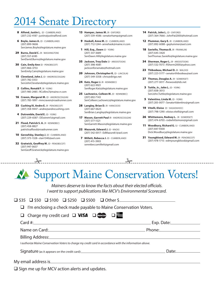## 014 Senate Director

- 8 Alfond, Justin L. (D CUMBERLAND) (207) 232-4187 • justin@justinalfond.com
- 6 **Boyle, James A.** (D CUMBERLAND) (207) 899-9606 SenJames.Boyle@legislature.maine.gov
- 29 **Burns, David C. (R WASHINGTON)** (207) 557-6185 SenDavid.Burns@legislature.maine.gov
- 30 **Cain, Emily Ann** (D PENOBSCOT) (207) 866-3753 SenEmily.Cain@legislature.maine.gov
- 15 **Cleveland, John J.** (D ANDROSCOGGIN) (207) 782-3353 SenJohnCleveland@legislature.maine.gov
- 2 **Collins, Ronald F.** (R YORK) (207) 985-2485 • RCollins7@maine.rr.com
- 16 **Craven, Margaret M.** (D ANDROSCOGGIN) (207) 783-1897 • mmcraven@roadrunner.com
- **33 Cushing III, Andre E.** (R PENOBSCOT) (207) 358-9447 • andre@andrecushing.com
- 4 **Dutremble, David E.** (D YORK) (207) 229-6587 • DDutrem1@gmail.com
- 21 **Flood, Patrick S. A.** (R KENNEBEC) (207) 458-8827 patricksaflood@roadrunner.com
- 10 **Gerzofsky, Stanley J.** (D CUMBERLAND) (207) 373-1328 • stan1340@aol.com
- 32 **Gratwick, Geoffrey M. (D PENOBSCOT)** (207) 947-0637 SenGeoff.Gratwick@legislature.maine.gov
- 13 **Hamper, James M.** (R OXFORD) (207) 539-4586 • senatorhamp@gmail.com
- 9 **Haskell, Anne M.** (D CUMBERLAND) (207) 712-1244 • annehask@maine.rr.com
- 1 **Hill, Esq., Dawn** (D YORK) (207) 337-3689 SenDawn.Hill@legislature.maine.gov
- 35 **Jackson, Troy Dale** (D AROOSTOOK) (207) 398-4081 jacksonforsenate@hotmail.com
- 20 **Johnson, Christopher K.** (D LINCOLN) (207) 549-3358 • chris@dirigo.net
- 24 Katz, Roger J. (R KENNEBEC) (207) 622-9921 SenRoger.Katz@legislature.maine.gov
- 25 **Lachowicz, Colleen M.** (D KENNEBEC) (207) 692-7143 SenColleen.Lachowicz@legislature.maine.gov
- 28 Langley, Brian D. (R HANCOCK) (207) 667-0625 SenBrian.Langley@legislature.maine.gov
- 17 **Mason, Garrett Paul** (R ANDROSCOGGIN) (207) 577-1521 SenGarrett.Mason@legislature.maine.gov
- 22 **Mazurek, Edward J.** (D KNOX) (207) 542-0017 • EdMazurek1@aol.com
- 7 **Millett, Rebecca J.** (D CUMBERLAND) (207) 415-3903 senrebeccamillett@gmail.com

 $\frac{2}{\sqrt{2}}$ 

- 14 **Patrick, John L.** (D OXFORD) (207) 364-7666 • JohnPat2000@hotmail.com
- 12 **Plummer, Gary E.** (R CUMBERLAND) (207) 892-6088 • geplummer@aol.com
- **18 Saviello, Thomas B. (R FRANKLIN)** (207) 645-3420 SenThomas.Saviello@legislature.maine.gov
- **34 Sherman, Roger L. (R AROOSTOOK)** (207) 532-7073 • RSherm2000@yahoo.com
- 23 **Thibodeau, Michael D.** (R WALDO) (207) 223-5177 • senatorthibodeau@aol.com
- 27 **Thomas, Douglas A.** (R SOMERSET) (207) 277-3017 • firewood@tds.net
- 3 **Tuttle, Jr., John L.** (D YORK) (207) 838-3013 SenJohn.Tuttle@legislature.maine.gov
- **5** Valentino, Linda M. (D YORK) (207) 205-0077 • SenatorValentino@gmail.com
- 19 **Vitelli, Eloise** (D SAGADAHOC) (207) 798-1290 • eloise.vitelli@gmail.com
- 26 **Whittemore, Rodney L.** (R SOMERSET) (207) 474-6703 • rodwhittemore@gmail.com
- 11 **Woodbury, Richard G. (U CUMBERLAND)** (207) 847-9300 Dick.Woodbury@legislature.maine.gov
- 31 **Youngblood, Edward M.** (R PENOBSCOT) (207) 478-1715 • edmyoungblood@gmail.com

## Support Maine Conservation Voters!

*Mainers deserve to know the facts about their elected officials. I want to support publications like MCV's Environmental Scorecard.*

| $\Box$ \$35 $\Box$ \$50 $\Box$ \$100 $\Box$ \$250 $\Box$ \$500 $\Box$ Other \$                                 |                               |
|----------------------------------------------------------------------------------------------------------------|-------------------------------|
| $\Box$ I'm enclosing a check made payable to Maine Conservation Voters.                                        |                               |
| $\Box$ Charge my credit card $\Box$ VISA $\Box$ (Instance $\Box$                                               |                               |
|                                                                                                                | Card #: Exp. Date: Exp. Date: |
|                                                                                                                |                               |
| Billing Address: No. 1998. The Second State of the Second State of the Second State of the Second State of the |                               |
| I authorize Maine Conservation Voters to charge my credit card in accordance with the information above.       |                               |
|                                                                                                                |                               |
| My email address is                                                                                            |                               |

 $\Box$  Sign me up for MCV action alerts and updates.